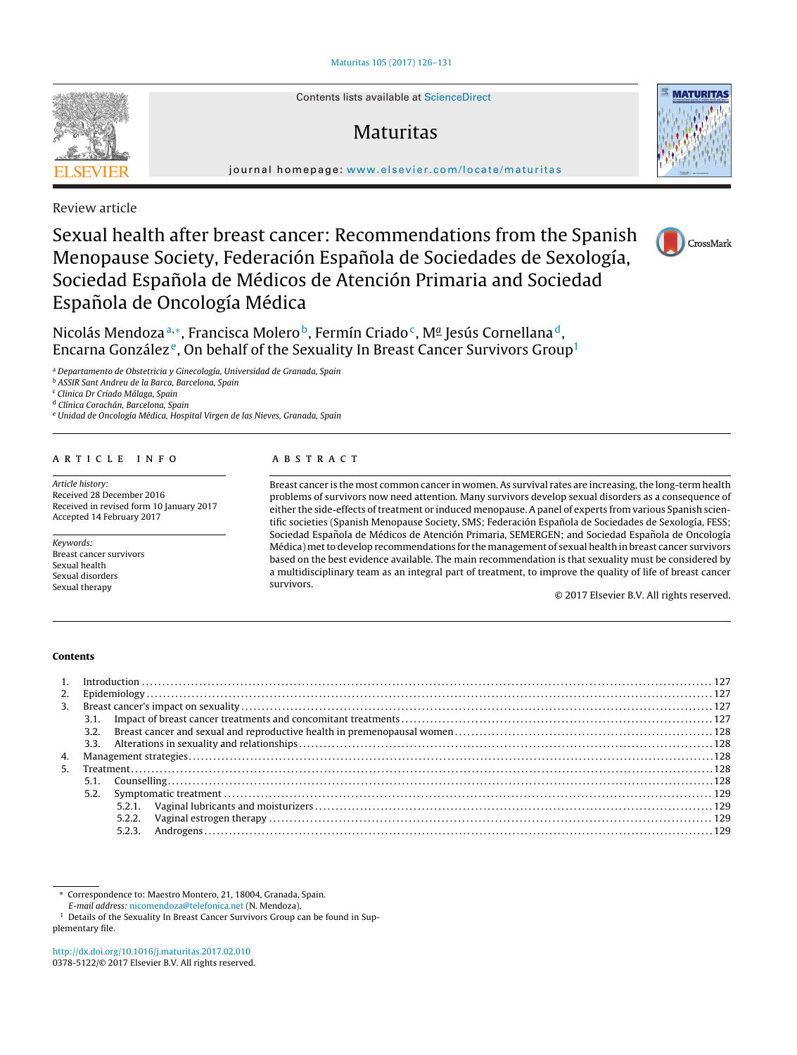Contents lists available at [ScienceDirect](http://www.sciencedirect.com/science/journal/03785122)

# Maturitas

**MATURITAS** 



Review article

# Sexual health after breast cancer: Recommendations from the Spanish Menopause Society, Federación Española de Sociedades de Sexología, Sociedad Española de Médicos de Atención Primaria and Sociedad Española de Oncología Médica



Nicolás Mendoza<sup>a,∗</sup>, Francisca Molero<sup>b</sup>, Fermín Criado<sup>c</sup>, M<sup>a</sup> Jesús Cornellana<sup>d</sup>, Encarna González<sup>e</sup>, On behalf of the Sexuality In Breast Cancer Survivors Group<sup>1</sup>

<sup>a</sup> Departamento de Obstetricia y Ginecología, Universidad de Granada, Spain

<sup>b</sup> ASSIR Sant Andreu de la Barca, Barcelona, Spain

<sup>c</sup> Clinica Dr Criado Málaga, Spain

<sup>d</sup> Clínica Corachán, Barcelona, Spain

<sup>e</sup> Unidad de Oncología Médica, Hospital Virgen de las Nieves, Granada, Spain

# a r t i c l e i n f o

Article history: Received 28 December 2016 Received in revised form 10 January 2017 Accepted 14 February 2017

Keywords: Breast cancer survivors Sexual health Sexual disorders Sexual therapy

# A B S T R A C T

Breast cancer is the most common cancer in women. As survival rates are increasing, the long-term health problems of survivors now need attention. Many survivors develop sexual disorders as a consequence of either the side-effects of treatment or induced menopause. A panel of experts from various Spanish scientific societies (Spanish Menopause Society, SMS; Federación Española de Sociedades de Sexología, FESS; Sociedad Española de Médicos de Atención Primaria, SEMERGEN; and Sociedad Española de Oncología Médica) metto develop recommendations for the management of sexual health in breast cancer survivors based on the best evidence available. The main recommendation is that sexuality must be considered by a multidisciplinary team as an integral part of treatment, to improve the quality of life of breast cancer survivors.

© 2017 Elsevier B.V. All rights reserved.

#### **Contents**

| 3. |      |  |  |  |
|----|------|--|--|--|
|    |      |  |  |  |
|    | 3.2. |  |  |  |
|    |      |  |  |  |
| 4. |      |  |  |  |
| 5. |      |  |  |  |
|    |      |  |  |  |
|    | 5.2. |  |  |  |
|    |      |  |  |  |
|    |      |  |  |  |
|    |      |  |  |  |
|    |      |  |  |  |

<sup>1</sup> Details of the Sexuality In Breast Cancer Survivors Group can be found in Supplementary file.



<sup>∗</sup> Correspondence to: Maestro Montero, 21, 18004, Granada, Spain. E-mail address: [nicomendoza@telefonica.net](mailto:nicomendoza@telefonica.net) (N. Mendoza).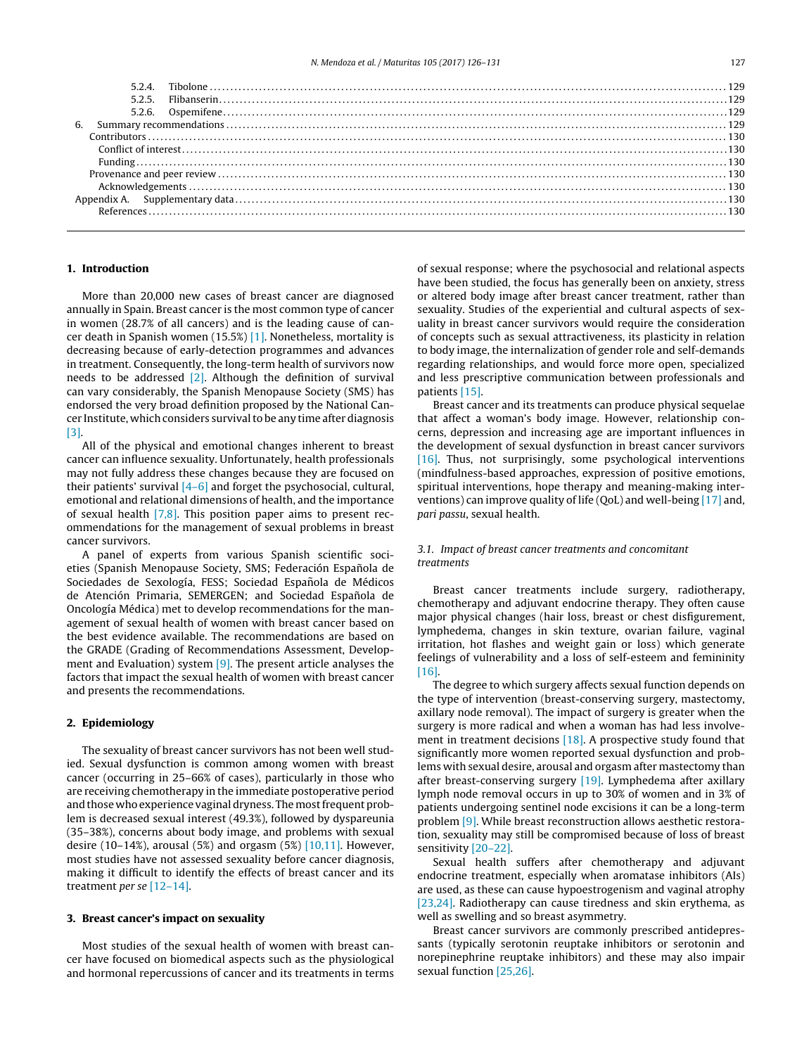# **1. Introduction**

More than 20,000 new cases of breast cancer are diagnosed annually in Spain. Breast cancer is the most common type of cancer in women (28.7% of all cancers) and is the leading cause of cancer death in Spanish women (15.5%) [\[1\].](#page-4-0) Nonetheless, mortality is decreasing because of early-detection programmes and advances in treatment. Consequently, the long-term health of survivors now needs to be addressed  $[2]$ . Although the definition of survival can vary considerably, the Spanish Menopause Society (SMS) has endorsed the very broad definition proposed by the National Cancer Institute, which considers survival to be any time after diagnosis [\[3\].](#page-4-0)

All of the physical and emotional changes inherent to breast cancer can influence sexuality. Unfortunately, health professionals may not fully address these changes because they are focused on their patients' survival  $[4-6]$  and forget the psychosocial, cultural, emotional and relational dimensions of health, and the importance of sexual health [\[7,8\].](#page-4-0) This position paper aims to present recommendations for the management of sexual problems in breast cancer survivors.

A panel of experts from various Spanish scientific societies (Spanish Menopause Society, SMS; Federación Española de Sociedades de Sexología, FESS; Sociedad Española de Médicos de Atención Primaria, SEMERGEN; and Sociedad Española de Oncología Médica) met to develop recommendations for the management of sexual health of women with breast cancer based on the best evidence available. The recommendations are based on the GRADE (Grading of Recommendations Assessment, Development and Evaluation) system [\[9\].](#page-4-0) The present article analyses the factors that impact the sexual health of women with breast cancer and presents the recommendations.

# **2. Epidemiology**

The sexuality of breast cancer survivors has not been well studied. Sexual dysfunction is common among women with breast cancer (occurring in 25–66% of cases), particularly in those who are receiving chemotherapy in the immediate postoperative period and those who experience vaginal dryness. The most frequent problem is decreased sexual interest (49.3%), followed by dyspareunia (35–38%), concerns about body image, and problems with sexual desire (10–14%), arousal (5%) and orgasm (5%) [\[10,11\].](#page-4-0) However, most studies have not assessed sexuality before cancer diagnosis, making it difficult to identify the effects of breast cancer and its treatment per se [\[12–14\].](#page-4-0)

# **3. Breast cancer's impact on sexuality**

Most studies of the sexual health of women with breast cancer have focused on biomedical aspects such as the physiological and hormonal repercussions of cancer and its treatments in terms of sexual response; where the psychosocial and relational aspects have been studied, the focus has generally been on anxiety, stress or altered body image after breast cancer treatment, rather than sexuality. Studies of the experiential and cultural aspects of sexuality in breast cancer survivors would require the consideration of concepts such as sexual attractiveness, its plasticity in relation to body image, the internalization of gender role and self-demands regarding relationships, and would force more open, specialized and less prescriptive communication between professionals and patients [\[15\].](#page-4-0)

Breast cancer and its treatments can produce physical sequelae that affect a woman's body image. However, relationship concerns, depression and increasing age are important influences in the development of sexual dysfunction in breast cancer survivors [\[16\].](#page-4-0) Thus, not surprisingly, some psychological interventions (mindfulness-based approaches, expression of positive emotions, spiritual interventions, hope therapy and meaning-making interventions) can improve quality of life (QoL) and well-being [\[17\]](#page-4-0) and, pari passu, sexual health.

# 3.1. Impact of breast cancer treatments and concomitant treatments

Breast cancer treatments include surgery, radiotherapy, chemotherapy and adjuvant endocrine therapy. They often cause major physical changes (hair loss, breast or chest disfigurement, lymphedema, changes in skin texture, ovarian failure, vaginal irritation, hot flashes and weight gain or loss) which generate feelings of vulnerability and a loss of self-esteem and femininity [\[16\].](#page-4-0)

The degree to which surgery affects sexual function depends on the type of intervention (breast-conserving surgery, mastectomy, axillary node removal). The impact of surgery is greater when the surgery is more radical and when a woman has had less involve-ment in treatment decisions [\[18\].](#page-4-0) A prospective study found that significantly more women reported sexual dysfunction and problems with sexual desire, arousal and orgasm after mastectomy than after breast-conserving surgery [\[19\].](#page-4-0) Lymphedema after axillary lymph node removal occurs in up to 30% of women and in 3% of patients undergoing sentinel node excisions it can be a long-term problem [\[9\].](#page-4-0) While breast reconstruction allows aesthetic restoration, sexuality may still be compromised because of loss of breast sensitivity [\[20–22\].](#page-4-0)

Sexual health suffers after chemotherapy and adjuvant endocrine treatment, especially when aromatase inhibitors (AIs) are used, as these can cause hypoestrogenism and vaginal atrophy [\[23,24\].](#page-4-0) Radiotherapy can cause tiredness and skin erythema, as well as swelling and so breast asymmetry.

Breast cancer survivors are commonly prescribed antidepressants (typically serotonin reuptake inhibitors or serotonin and norepinephrine reuptake inhibitors) and these may also impair sexual function [\[25,26\].](#page-4-0)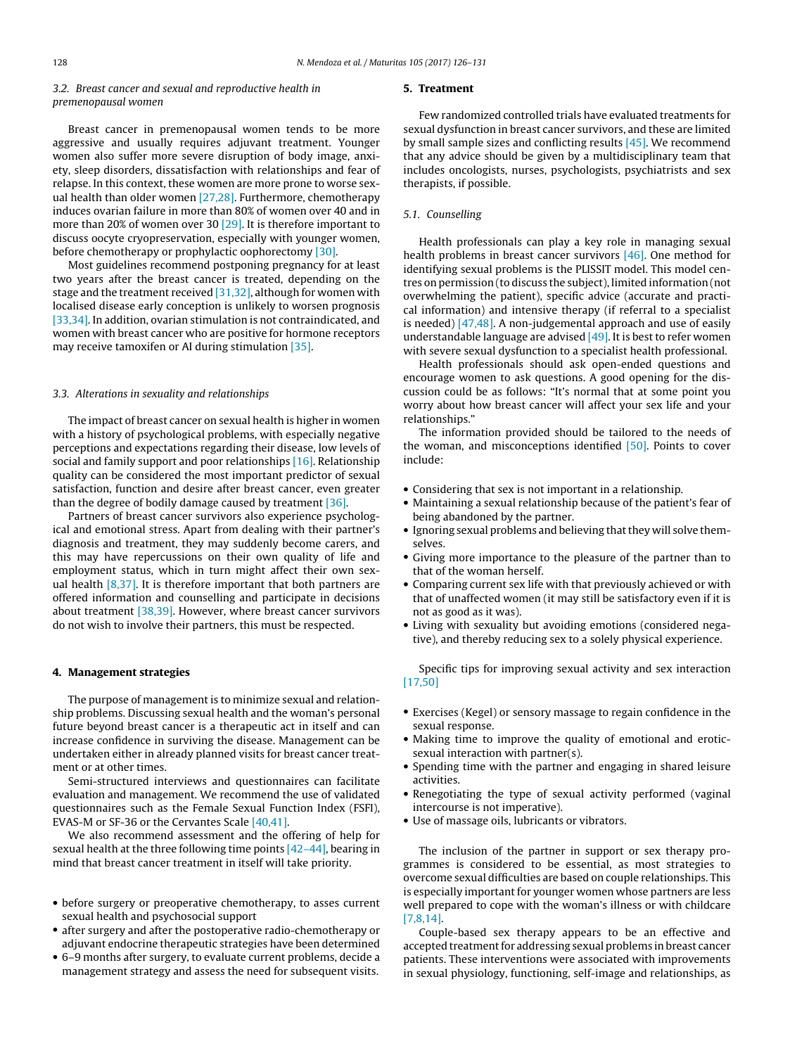# 3.2. Breast cancer and sexual and reproductive health in premenopausal women

Breast cancer in premenopausal women tends to be more aggressive and usually requires adjuvant treatment. Younger women also suffer more severe disruption of body image, anxiety, sleep disorders, dissatisfaction with relationships and fear of relapse. In this context, these women are more prone to worse sexual health than older women [\[27,28\].](#page-4-0) Furthermore, chemotherapy induces ovarian failure in more than 80% of women over 40 and in more than 20% of women over 30 [\[29\].](#page-4-0) It is therefore important to discuss oocyte cryopreservation, especially with younger women, before chemotherapy or prophylactic oophorectomy [\[30\].](#page-4-0)

Most guidelines recommend postponing pregnancy for at least two years after the breast cancer is treated, depending on the stage and the treatment received  $[31,32]$ , although for women with localised disease early conception is unlikely to worsen prognosis [\[33,34\].](#page-5-0) In addition, ovarian stimulation is not contraindicated, and women with breast cancer who are positive for hormone receptors may receive tamoxifen or AI during stimulation [\[35\].](#page-5-0)

#### 3.3. Alterations in sexuality and relationships

The impact of breast cancer on sexual health is higher in women with a history of psychological problems, with especially negative perceptions and expectations regarding their disease, low levels of social and family support and poor relationships [\[16\].](#page-4-0) Relationship quality can be considered the most important predictor of sexual satisfaction, function and desire after breast cancer, even greater than the degree of bodily damage caused by treatment [\[36\].](#page-5-0)

Partners of breast cancer survivors also experience psychological and emotional stress. Apart from dealing with their partner's diagnosis and treatment, they may suddenly become carers, and this may have repercussions on their own quality of life and employment status, which in turn might affect their own sexual health  $[8,37]$ . It is therefore important that both partners are offered information and counselling and participate in decisions about treatment [\[38,39\].](#page-5-0) However, where breast cancer survivors do not wish to involve their partners, this must be respected.

# **4. Management strategies**

The purpose of management is to minimize sexual and relationship problems. Discussing sexual health and the woman's personal future beyond breast cancer is a therapeutic act in itself and can increase confidence in surviving the disease. Management can be undertaken either in already planned visits for breast cancer treatment or at other times.

Semi-structured interviews and questionnaires can facilitate evaluation and management. We recommend the use of validated questionnaires such as the Female Sexual Function Index (FSFI), EVAS-M or SF-36 or the Cervantes Scale [\[40,41\].](#page-5-0)

We also recommend assessment and the offering of help for sexual health at the three following time points [\[42–44\],](#page-5-0) bearing in mind that breast cancer treatment in itself will take priority.

- before surgery or preoperative chemotherapy, to asses current sexual health and psychosocial support
- after surgery and after the postoperative radio-chemotherapy or adjuvant endocrine therapeutic strategies have been determined
- 6–9 months after surgery, to evaluate current problems, decide a management strategy and assess the need for subsequent visits.

#### **5. Treatment**

Few randomized controlled trials have evaluated treatments for sexual dysfunction in breast cancer survivors, and these are limited by small sample sizes and conflicting results [\[45\].](#page-5-0) We recommend that any advice should be given by a multidisciplinary team that includes oncologists, nurses, psychologists, psychiatrists and sex therapists, if possible.

# 5.1. Counselling

Health professionals can play a key role in managing sexual health problems in breast cancer survivors [\[46\].](#page-5-0) One method for identifying sexual problems is the PLISSIT model. This model centres on permission (to discuss the subject), limited information (not overwhelming the patient), specific advice (accurate and practical information) and intensive therapy (if referral to a specialist is needed)  $[47,48]$ . A non-judgemental approach and use of easily understandable language are advised  $[49]$ . It is best to refer women with severe sexual dysfunction to a specialist health professional.

Health professionals should ask open-ended questions and encourage women to ask questions. A good opening for the discussion could be as follows: "It's normal that at some point you worry about how breast cancer will affect your sex life and your relationships."

The information provided should be tailored to the needs of the woman, and misconceptions identified [\[50\].](#page-5-0) Points to cover include:

- Considering that sex is not important in a relationship.
- Maintaining a sexual relationship because of the patient's fear of being abandoned by the partner.
- Ignoring sexual problems and believing that they will solve themselves.
- Giving more importance to the pleasure of the partner than to that of the woman herself.
- Comparing current sex life with that previously achieved or with that of unaffected women (it may still be satisfactory even if it is not as good as it was).
- Living with sexuality but avoiding emotions (considered negative), and thereby reducing sex to a solely physical experience.

Specific tips for improving sexual activity and sex interaction [\[17,50\]](#page-4-0)

- Exercises (Kegel) or sensory massage to regain confidence in the sexual response.
- Making time to improve the quality of emotional and eroticsexual interaction with partner(s).
- Spending time with the partner and engaging in shared leisure activities.
- Renegotiating the type of sexual activity performed (vaginal intercourse is not imperative).
- Use of massage oils, lubricants or vibrators.

The inclusion of the partner in support or sex therapy programmes is considered to be essential, as most strategies to overcome sexual difficulties are based on couple relationships. This is especially important for younger women whose partners are less well prepared to cope with the woman's illness or with childcare [\[7,8,14\].](#page-4-0)

Couple-based sex therapy appears to be an effective and accepted treatment for addressing sexual problems in breast cancer patients. These interventions were associated with improvements in sexual physiology, functioning, self-image and relationships, as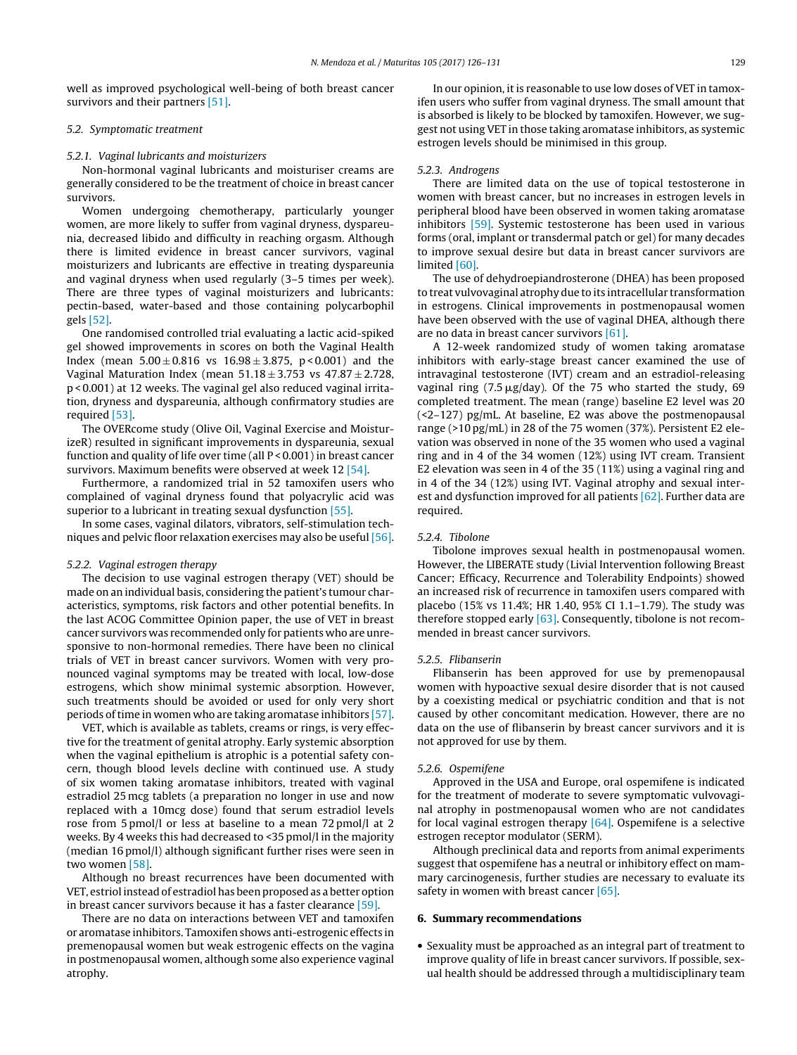well as improved psychological well-being of both breast cancer survivors and their partners [\[51\].](#page-5-0)

# 5.2. Symptomatic treatment

#### 5.2.1. Vaginal lubricants and moisturizers

Non-hormonal vaginal lubricants and moisturiser creams are generally considered to be the treatment of choice in breast cancer survivors.

Women undergoing chemotherapy, particularly younger women, are more likely to suffer from vaginal dryness, dyspareunia, decreased libido and difficulty in reaching orgasm. Although there is limited evidence in breast cancer survivors, vaginal moisturizers and lubricants are effective in treating dyspareunia and vaginal dryness when used regularly (3–5 times per week). There are three types of vaginal moisturizers and lubricants: pectin-based, water-based and those containing polycarbophil gels [\[52\].](#page-5-0)

One randomised controlled trial evaluating a lactic acid-spiked gel showed improvements in scores on both the Vaginal Health Index (mean  $5.00 \pm 0.816$  vs  $16.98 \pm 3.875$ , p < 0.001) and the Vaginal Maturation Index (mean  $51.18 \pm 3.753$  vs  $47.87 \pm 2.728$ , p < 0.001) at 12 weeks. The vaginal gel also reduced vaginal irritation, dryness and dyspareunia, although confirmatory studies are required [\[53\].](#page-5-0)

The OVERcome study (Olive Oil, Vaginal Exercise and MoisturizeR) resulted in significant improvements in dyspareunia, sexual function and quality of life over time (all P < 0.001) in breast cancer survivors. Maximum benefits were observed at week 12 [\[54\].](#page-5-0)

Furthermore, a randomized trial in 52 tamoxifen users who complained of vaginal dryness found that polyacrylic acid was superior to a lubricant in treating sexual dysfunction [\[55\].](#page-5-0)

In some cases, vaginal dilators, vibrators, self-stimulation techniques and pelvic floor relaxation exercises may also be useful [\[56\].](#page-5-0)

#### 5.2.2. Vaginal estrogen therapy

The decision to use vaginal estrogen therapy (VET) should be made on an individual basis, considering the patient's tumour characteristics, symptoms, risk factors and other potential benefits. In the last ACOG Committee Opinion paper, the use of VET in breast cancer survivors was recommended only for patients who are unresponsive to non-hormonal remedies. There have been no clinical trials of VET in breast cancer survivors. Women with very pronounced vaginal symptoms may be treated with local, low-dose estrogens, which show minimal systemic absorption. However, such treatments should be avoided or used for only very short periods oftime in women who are taking aromatase inhibitors [\[57\].](#page-5-0)

VET, which is available as tablets, creams or rings, is very effective for the treatment of genital atrophy. Early systemic absorption when the vaginal epithelium is atrophic is a potential safety concern, though blood levels decline with continued use. A study of six women taking aromatase inhibitors, treated with vaginal estradiol 25 mcg tablets (a preparation no longer in use and now replaced with a 10mcg dose) found that serum estradiol levels rose from 5 pmol/l or less at baseline to a mean 72 pmol/l at 2 weeks. By 4 weeks this had decreased to <35 pmol/l in the majority (median 16 pmol/l) although significant further rises were seen in two women [\[58\].](#page-5-0)

Although no breast recurrences have been documented with VET, estriol instead of estradiol has been proposed as a better option in breast cancer survivors because it has a faster clearance [\[59\].](#page-5-0)

There are no data on interactions between VET and tamoxifen or aromatase inhibitors. Tamoxifen shows anti-estrogenic effects in premenopausal women but weak estrogenic effects on the vagina in postmenopausal women, although some also experience vaginal atrophy.

In our opinion, it is reasonable to use low doses of VET in tamoxifen users who suffer from vaginal dryness. The small amount that is absorbed is likely to be blocked by tamoxifen. However, we suggest not using VET in those taking aromatase inhibitors, as systemic estrogen levels should be minimised in this group.

## 5.2.3. Androgens

There are limited data on the use of topical testosterone in women with breast cancer, but no increases in estrogen levels in peripheral blood have been observed in women taking aromatase inhibitors [\[59\].](#page-5-0) Systemic testosterone has been used in various forms (oral, implant or transdermal patch or gel) for many decades to improve sexual desire but data in breast cancer survivors are limited [\[60\].](#page-5-0)

The use of dehydroepiandrosterone (DHEA) has been proposed to treat vulvovaginal atrophy due to its intracellular transformation in estrogens. Clinical improvements in postmenopausal women have been observed with the use of vaginal DHEA, although there are no data in breast cancer survivors [\[61\].](#page-5-0)

A 12-week randomized study of women taking aromatase inhibitors with early-stage breast cancer examined the use of intravaginal testosterone (IVT) cream and an estradiol-releasing vaginal ring (7.5  $\mu$ g/day). Of the 75 who started the study, 69 completed treatment. The mean (range) baseline E2 level was 20 (<2–127) pg/mL. At baseline, E2 was above the postmenopausal range (>10 pg/mL) in 28 of the 75 women (37%). Persistent E2 elevation was observed in none of the 35 women who used a vaginal ring and in 4 of the 34 women (12%) using IVT cream. Transient E2 elevation was seen in 4 of the 35 (11%) using a vaginal ring and in 4 of the 34 (12%) using IVT. Vaginal atrophy and sexual interest and dysfunction improved for all patients [\[62\].](#page-5-0) Further data are required.

## 5.2.4. Tibolone

Tibolone improves sexual health in postmenopausal women. However, the LIBERATE study (Livial Intervention following Breast Cancer; Efficacy, Recurrence and Tolerability Endpoints) showed an increased risk of recurrence in tamoxifen users compared with placebo (15% vs 11.4%; HR 1.40, 95% CI 1.1–1.79). The study was therefore stopped early [\[63\].](#page-5-0) Consequently, tibolone is not recommended in breast cancer survivors.

# 5.2.5. Flibanserin

Flibanserin has been approved for use by premenopausal women with hypoactive sexual desire disorder that is not caused by a coexisting medical or psychiatric condition and that is not caused by other concomitant medication. However, there are no data on the use of flibanserin by breast cancer survivors and it is not approved for use by them.

#### 5.2.6. Ospemifene

Approved in the USA and Europe, oral ospemifene is indicated for the treatment of moderate to severe symptomatic vulvovaginal atrophy in postmenopausal women who are not candidates for local vaginal estrogen therapy [\[64\].](#page-5-0) Ospemifene is a selective estrogen receptor modulator (SERM).

Although preclinical data and reports from animal experiments suggest that ospemifene has a neutral or inhibitory effect on mammary carcinogenesis, further studies are necessary to evaluate its safety in women with breast cancer [\[65\].](#page-5-0)

## **6. Summary recommendations**

• Sexuality must be approached as an integral part of treatment to improve quality of life in breast cancer survivors. If possible, sexual health should be addressed through a multidisciplinary team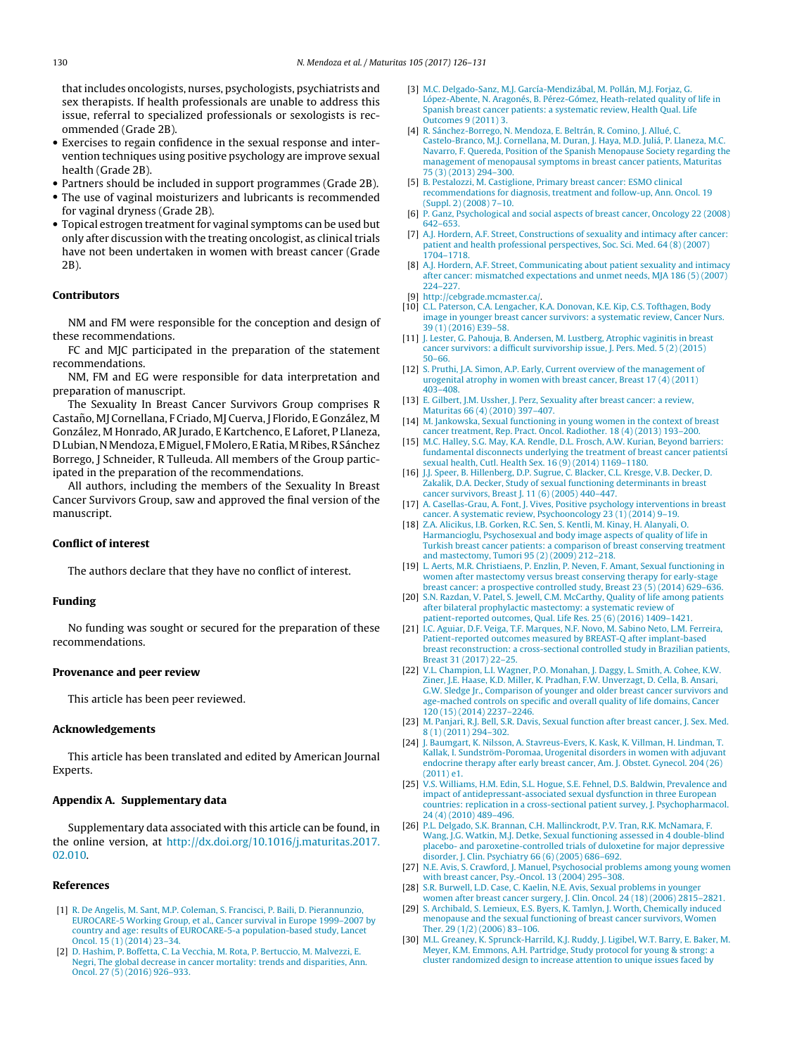<span id="page-4-0"></span>that includes oncologists, nurses, psychologists, psychiatrists and sex therapists. If health professionals are unable to address this issue, referral to specialized professionals or sexologists is recommended (Grade 2B).

- Exercises to regain confidence in the sexual response and intervention techniques using positive psychology are improve sexual health (Grade 2B).
- Partners should be included in support programmes (Grade 2B).
- The use of vaginal moisturizers and lubricants is recommended for vaginal dryness (Grade 2B).
- Topical estrogen treatment for vaginal symptoms can be used but only after discussion with the treating oncologist, as clinical trials have not been undertaken in women with breast cancer (Grade 2B).

## **Contributors**

NM and FM were responsible for the conception and design of these recommendations.

FC and MJC participated in the preparation of the statement recommendations.

NM, FM and EG were responsible for data interpretation and preparation of manuscript.

The Sexuality In Breast Cancer Survivors Group comprises R Castaño, MJ Cornellana, F Criado, MJ Cuerva, J Florido, E González, M González, M Honrado, AR Jurado, E Kartchenco, E Laforet, P Llaneza, D Lubian,NMendoza, EMiguel, FMolero, ERatia,MRibes,RSánchez Borrego, J Schneider, R Tulleuda. All members of the Group participated in the preparation of the recommendations.

All authors, including the members of the Sexuality In Breast Cancer Survivors Group, saw and approved the final version of the manuscript.

### **Conflict of interest**

The authors declare that they have no conflict of interest.

# **Funding**

No funding was sought or secured for the preparation of these recommendations.

#### **Provenance and peer review**

This article has been peer reviewed.

## **Acknowledgements**

This article has been translated and edited by American Journal Experts.

#### **Appendix A. Supplementary data**

Supplementary data associated with this article can be found, in the online version, at [http://dx.doi.org/10.1016/j.maturitas.2017.](http://dx.doi.org/10.1016/j.maturitas.2017.02.010) [02.010.](http://dx.doi.org/10.1016/j.maturitas.2017.02.010)

#### **References**

- [1] [R.](http://refhub.elsevier.com/S0378-5122(16)30461-3/sbref0005) [De](http://refhub.elsevier.com/S0378-5122(16)30461-3/sbref0005) [Angelis,](http://refhub.elsevier.com/S0378-5122(16)30461-3/sbref0005) [M.](http://refhub.elsevier.com/S0378-5122(16)30461-3/sbref0005) [Sant,](http://refhub.elsevier.com/S0378-5122(16)30461-3/sbref0005) [M.P.](http://refhub.elsevier.com/S0378-5122(16)30461-3/sbref0005) [Coleman,](http://refhub.elsevier.com/S0378-5122(16)30461-3/sbref0005) [S.](http://refhub.elsevier.com/S0378-5122(16)30461-3/sbref0005) [Francisci,](http://refhub.elsevier.com/S0378-5122(16)30461-3/sbref0005) [P.](http://refhub.elsevier.com/S0378-5122(16)30461-3/sbref0005) [Baili,](http://refhub.elsevier.com/S0378-5122(16)30461-3/sbref0005) [D.](http://refhub.elsevier.com/S0378-5122(16)30461-3/sbref0005) [Pierannunzio,](http://refhub.elsevier.com/S0378-5122(16)30461-3/sbref0005) [EUROCARE-5](http://refhub.elsevier.com/S0378-5122(16)30461-3/sbref0005) [Working](http://refhub.elsevier.com/S0378-5122(16)30461-3/sbref0005) [Group,](http://refhub.elsevier.com/S0378-5122(16)30461-3/sbref0005) [et](http://refhub.elsevier.com/S0378-5122(16)30461-3/sbref0005) [al.,](http://refhub.elsevier.com/S0378-5122(16)30461-3/sbref0005) [Cancer](http://refhub.elsevier.com/S0378-5122(16)30461-3/sbref0005) [survival](http://refhub.elsevier.com/S0378-5122(16)30461-3/sbref0005) [in](http://refhub.elsevier.com/S0378-5122(16)30461-3/sbref0005) [Europe](http://refhub.elsevier.com/S0378-5122(16)30461-3/sbref0005) [1999–2007](http://refhub.elsevier.com/S0378-5122(16)30461-3/sbref0005) [by](http://refhub.elsevier.com/S0378-5122(16)30461-3/sbref0005) [country](http://refhub.elsevier.com/S0378-5122(16)30461-3/sbref0005) [and](http://refhub.elsevier.com/S0378-5122(16)30461-3/sbref0005) [age:](http://refhub.elsevier.com/S0378-5122(16)30461-3/sbref0005) [results](http://refhub.elsevier.com/S0378-5122(16)30461-3/sbref0005) [of](http://refhub.elsevier.com/S0378-5122(16)30461-3/sbref0005) [EUROCARE-5-a](http://refhub.elsevier.com/S0378-5122(16)30461-3/sbref0005) [population-based](http://refhub.elsevier.com/S0378-5122(16)30461-3/sbref0005) [study,](http://refhub.elsevier.com/S0378-5122(16)30461-3/sbref0005) [Lancet](http://refhub.elsevier.com/S0378-5122(16)30461-3/sbref0005) [Oncol.](http://refhub.elsevier.com/S0378-5122(16)30461-3/sbref0005) [15](http://refhub.elsevier.com/S0378-5122(16)30461-3/sbref0005) [\(1\)](http://refhub.elsevier.com/S0378-5122(16)30461-3/sbref0005) [\(2014\)](http://refhub.elsevier.com/S0378-5122(16)30461-3/sbref0005) [23–34.](http://refhub.elsevier.com/S0378-5122(16)30461-3/sbref0005)
- [2] [D.](http://refhub.elsevier.com/S0378-5122(16)30461-3/sbref0010) [Hashim,](http://refhub.elsevier.com/S0378-5122(16)30461-3/sbref0010) [P.](http://refhub.elsevier.com/S0378-5122(16)30461-3/sbref0010) [Boffetta,](http://refhub.elsevier.com/S0378-5122(16)30461-3/sbref0010) [C.](http://refhub.elsevier.com/S0378-5122(16)30461-3/sbref0010) [La](http://refhub.elsevier.com/S0378-5122(16)30461-3/sbref0010) [Vecchia,](http://refhub.elsevier.com/S0378-5122(16)30461-3/sbref0010) [M.](http://refhub.elsevier.com/S0378-5122(16)30461-3/sbref0010) [Rota,](http://refhub.elsevier.com/S0378-5122(16)30461-3/sbref0010) [P.](http://refhub.elsevier.com/S0378-5122(16)30461-3/sbref0010) [Bertuccio,](http://refhub.elsevier.com/S0378-5122(16)30461-3/sbref0010) [M.](http://refhub.elsevier.com/S0378-5122(16)30461-3/sbref0010) [Malvezzi,](http://refhub.elsevier.com/S0378-5122(16)30461-3/sbref0010) [E.](http://refhub.elsevier.com/S0378-5122(16)30461-3/sbref0010) [Negri,](http://refhub.elsevier.com/S0378-5122(16)30461-3/sbref0010) [The](http://refhub.elsevier.com/S0378-5122(16)30461-3/sbref0010) [global](http://refhub.elsevier.com/S0378-5122(16)30461-3/sbref0010) [decrease](http://refhub.elsevier.com/S0378-5122(16)30461-3/sbref0010) [in](http://refhub.elsevier.com/S0378-5122(16)30461-3/sbref0010) [cancer](http://refhub.elsevier.com/S0378-5122(16)30461-3/sbref0010) [mortality:](http://refhub.elsevier.com/S0378-5122(16)30461-3/sbref0010) [trends](http://refhub.elsevier.com/S0378-5122(16)30461-3/sbref0010) [and](http://refhub.elsevier.com/S0378-5122(16)30461-3/sbref0010) [disparities,](http://refhub.elsevier.com/S0378-5122(16)30461-3/sbref0010) [Ann.](http://refhub.elsevier.com/S0378-5122(16)30461-3/sbref0010) [Oncol.](http://refhub.elsevier.com/S0378-5122(16)30461-3/sbref0010) [27](http://refhub.elsevier.com/S0378-5122(16)30461-3/sbref0010) [\(5\)](http://refhub.elsevier.com/S0378-5122(16)30461-3/sbref0010) [\(2016\)](http://refhub.elsevier.com/S0378-5122(16)30461-3/sbref0010) [926–933.](http://refhub.elsevier.com/S0378-5122(16)30461-3/sbref0010)
- [3] [M.C.](http://refhub.elsevier.com/S0378-5122(16)30461-3/sbref0015) [Delgado-Sanz,](http://refhub.elsevier.com/S0378-5122(16)30461-3/sbref0015) [M.J.](http://refhub.elsevier.com/S0378-5122(16)30461-3/sbref0015) [García-Mendizábal,](http://refhub.elsevier.com/S0378-5122(16)30461-3/sbref0015) [M.](http://refhub.elsevier.com/S0378-5122(16)30461-3/sbref0015) [Pollán,](http://refhub.elsevier.com/S0378-5122(16)30461-3/sbref0015) [M.J.](http://refhub.elsevier.com/S0378-5122(16)30461-3/sbref0015) [Forjaz,](http://refhub.elsevier.com/S0378-5122(16)30461-3/sbref0015) [G.](http://refhub.elsevier.com/S0378-5122(16)30461-3/sbref0015) [López-Abente,](http://refhub.elsevier.com/S0378-5122(16)30461-3/sbref0015) [N.](http://refhub.elsevier.com/S0378-5122(16)30461-3/sbref0015) [Aragonés,](http://refhub.elsevier.com/S0378-5122(16)30461-3/sbref0015) [B.](http://refhub.elsevier.com/S0378-5122(16)30461-3/sbref0015) [Pérez-Gómez,](http://refhub.elsevier.com/S0378-5122(16)30461-3/sbref0015) [Heath-related](http://refhub.elsevier.com/S0378-5122(16)30461-3/sbref0015) [quality](http://refhub.elsevier.com/S0378-5122(16)30461-3/sbref0015) [of](http://refhub.elsevier.com/S0378-5122(16)30461-3/sbref0015) [life](http://refhub.elsevier.com/S0378-5122(16)30461-3/sbref0015) [in](http://refhub.elsevier.com/S0378-5122(16)30461-3/sbref0015) [Spanish](http://refhub.elsevier.com/S0378-5122(16)30461-3/sbref0015) [breast](http://refhub.elsevier.com/S0378-5122(16)30461-3/sbref0015) [cancer](http://refhub.elsevier.com/S0378-5122(16)30461-3/sbref0015) [patients:](http://refhub.elsevier.com/S0378-5122(16)30461-3/sbref0015) [a](http://refhub.elsevier.com/S0378-5122(16)30461-3/sbref0015) [systematic](http://refhub.elsevier.com/S0378-5122(16)30461-3/sbref0015) [review,](http://refhub.elsevier.com/S0378-5122(16)30461-3/sbref0015) [Health](http://refhub.elsevier.com/S0378-5122(16)30461-3/sbref0015) [Qual.](http://refhub.elsevier.com/S0378-5122(16)30461-3/sbref0015) [Life](http://refhub.elsevier.com/S0378-5122(16)30461-3/sbref0015) [Outcomes](http://refhub.elsevier.com/S0378-5122(16)30461-3/sbref0015) [9](http://refhub.elsevier.com/S0378-5122(16)30461-3/sbref0015) [\(2011\)](http://refhub.elsevier.com/S0378-5122(16)30461-3/sbref0015) [3.](http://refhub.elsevier.com/S0378-5122(16)30461-3/sbref0015)
- [4] [R.](http://refhub.elsevier.com/S0378-5122(16)30461-3/sbref0020) [Sánchez-Borrego,](http://refhub.elsevier.com/S0378-5122(16)30461-3/sbref0020) [N.](http://refhub.elsevier.com/S0378-5122(16)30461-3/sbref0020) [Mendoza,](http://refhub.elsevier.com/S0378-5122(16)30461-3/sbref0020) [E.](http://refhub.elsevier.com/S0378-5122(16)30461-3/sbref0020) [Beltrán,](http://refhub.elsevier.com/S0378-5122(16)30461-3/sbref0020) [R.](http://refhub.elsevier.com/S0378-5122(16)30461-3/sbref0020) [Comino,](http://refhub.elsevier.com/S0378-5122(16)30461-3/sbref0020) [J.](http://refhub.elsevier.com/S0378-5122(16)30461-3/sbref0020) [Allué,](http://refhub.elsevier.com/S0378-5122(16)30461-3/sbref0020) [C.](http://refhub.elsevier.com/S0378-5122(16)30461-3/sbref0020) [Castelo-Branco,](http://refhub.elsevier.com/S0378-5122(16)30461-3/sbref0020) [M.J.](http://refhub.elsevier.com/S0378-5122(16)30461-3/sbref0020) [Cornellana,](http://refhub.elsevier.com/S0378-5122(16)30461-3/sbref0020) [M.](http://refhub.elsevier.com/S0378-5122(16)30461-3/sbref0020) [Duran,](http://refhub.elsevier.com/S0378-5122(16)30461-3/sbref0020) [J.](http://refhub.elsevier.com/S0378-5122(16)30461-3/sbref0020) [Haya,](http://refhub.elsevier.com/S0378-5122(16)30461-3/sbref0020) [M.D.](http://refhub.elsevier.com/S0378-5122(16)30461-3/sbref0020) [Juliá,](http://refhub.elsevier.com/S0378-5122(16)30461-3/sbref0020) [P.](http://refhub.elsevier.com/S0378-5122(16)30461-3/sbref0020) [Llaneza,](http://refhub.elsevier.com/S0378-5122(16)30461-3/sbref0020) [M.C.](http://refhub.elsevier.com/S0378-5122(16)30461-3/sbref0020) [Navarro,](http://refhub.elsevier.com/S0378-5122(16)30461-3/sbref0020) [F.](http://refhub.elsevier.com/S0378-5122(16)30461-3/sbref0020) [Quereda,](http://refhub.elsevier.com/S0378-5122(16)30461-3/sbref0020) [Position](http://refhub.elsevier.com/S0378-5122(16)30461-3/sbref0020) [of](http://refhub.elsevier.com/S0378-5122(16)30461-3/sbref0020) [the](http://refhub.elsevier.com/S0378-5122(16)30461-3/sbref0020) [Spanish](http://refhub.elsevier.com/S0378-5122(16)30461-3/sbref0020) [Menopause](http://refhub.elsevier.com/S0378-5122(16)30461-3/sbref0020) [Society](http://refhub.elsevier.com/S0378-5122(16)30461-3/sbref0020) [regarding](http://refhub.elsevier.com/S0378-5122(16)30461-3/sbref0020) [the](http://refhub.elsevier.com/S0378-5122(16)30461-3/sbref0020) [management](http://refhub.elsevier.com/S0378-5122(16)30461-3/sbref0020) [of](http://refhub.elsevier.com/S0378-5122(16)30461-3/sbref0020) [menopausal](http://refhub.elsevier.com/S0378-5122(16)30461-3/sbref0020) [symptoms](http://refhub.elsevier.com/S0378-5122(16)30461-3/sbref0020) [in](http://refhub.elsevier.com/S0378-5122(16)30461-3/sbref0020) [breast](http://refhub.elsevier.com/S0378-5122(16)30461-3/sbref0020) [cancer](http://refhub.elsevier.com/S0378-5122(16)30461-3/sbref0020) [patients,](http://refhub.elsevier.com/S0378-5122(16)30461-3/sbref0020) [Maturitas](http://refhub.elsevier.com/S0378-5122(16)30461-3/sbref0020) [75](http://refhub.elsevier.com/S0378-5122(16)30461-3/sbref0020) [\(3\)](http://refhub.elsevier.com/S0378-5122(16)30461-3/sbref0020) [\(2013\)](http://refhub.elsevier.com/S0378-5122(16)30461-3/sbref0020) [294](http://refhub.elsevier.com/S0378-5122(16)30461-3/sbref0020)–[300.](http://refhub.elsevier.com/S0378-5122(16)30461-3/sbref0020)
- [5] [B.](http://refhub.elsevier.com/S0378-5122(16)30461-3/sbref0025) [Pestalozzi,](http://refhub.elsevier.com/S0378-5122(16)30461-3/sbref0025) [M.](http://refhub.elsevier.com/S0378-5122(16)30461-3/sbref0025) [Castiglione,](http://refhub.elsevier.com/S0378-5122(16)30461-3/sbref0025) [Primary](http://refhub.elsevier.com/S0378-5122(16)30461-3/sbref0025) [breast](http://refhub.elsevier.com/S0378-5122(16)30461-3/sbref0025) [cancer:](http://refhub.elsevier.com/S0378-5122(16)30461-3/sbref0025) [ESMO](http://refhub.elsevier.com/S0378-5122(16)30461-3/sbref0025) [clinical](http://refhub.elsevier.com/S0378-5122(16)30461-3/sbref0025) [recommendations](http://refhub.elsevier.com/S0378-5122(16)30461-3/sbref0025) [for](http://refhub.elsevier.com/S0378-5122(16)30461-3/sbref0025) [diagnosis,](http://refhub.elsevier.com/S0378-5122(16)30461-3/sbref0025) [treatment](http://refhub.elsevier.com/S0378-5122(16)30461-3/sbref0025) [and](http://refhub.elsevier.com/S0378-5122(16)30461-3/sbref0025) [follow-up,](http://refhub.elsevier.com/S0378-5122(16)30461-3/sbref0025) [Ann.](http://refhub.elsevier.com/S0378-5122(16)30461-3/sbref0025) [Oncol.](http://refhub.elsevier.com/S0378-5122(16)30461-3/sbref0025) [19](http://refhub.elsevier.com/S0378-5122(16)30461-3/sbref0025) [\(Suppl.](http://refhub.elsevier.com/S0378-5122(16)30461-3/sbref0025) [2\)](http://refhub.elsevier.com/S0378-5122(16)30461-3/sbref0025) [\(2008\)](http://refhub.elsevier.com/S0378-5122(16)30461-3/sbref0025) [7–10.](http://refhub.elsevier.com/S0378-5122(16)30461-3/sbref0025)
- [6] [P.](http://refhub.elsevier.com/S0378-5122(16)30461-3/sbref0030) [Ganz,](http://refhub.elsevier.com/S0378-5122(16)30461-3/sbref0030) [Psychological](http://refhub.elsevier.com/S0378-5122(16)30461-3/sbref0030) [and](http://refhub.elsevier.com/S0378-5122(16)30461-3/sbref0030) [social](http://refhub.elsevier.com/S0378-5122(16)30461-3/sbref0030) [aspects](http://refhub.elsevier.com/S0378-5122(16)30461-3/sbref0030) [of](http://refhub.elsevier.com/S0378-5122(16)30461-3/sbref0030) [breast](http://refhub.elsevier.com/S0378-5122(16)30461-3/sbref0030) [cancer,](http://refhub.elsevier.com/S0378-5122(16)30461-3/sbref0030) [Oncology](http://refhub.elsevier.com/S0378-5122(16)30461-3/sbref0030) [22](http://refhub.elsevier.com/S0378-5122(16)30461-3/sbref0030) [\(2008\)](http://refhub.elsevier.com/S0378-5122(16)30461-3/sbref0030) [642–653.](http://refhub.elsevier.com/S0378-5122(16)30461-3/sbref0030)
- [7] [A.J.](http://refhub.elsevier.com/S0378-5122(16)30461-3/sbref0035) [Hordern,](http://refhub.elsevier.com/S0378-5122(16)30461-3/sbref0035) [A.F.](http://refhub.elsevier.com/S0378-5122(16)30461-3/sbref0035) [Street,](http://refhub.elsevier.com/S0378-5122(16)30461-3/sbref0035) [Constructions](http://refhub.elsevier.com/S0378-5122(16)30461-3/sbref0035) [of](http://refhub.elsevier.com/S0378-5122(16)30461-3/sbref0035) [sexuality](http://refhub.elsevier.com/S0378-5122(16)30461-3/sbref0035) [and](http://refhub.elsevier.com/S0378-5122(16)30461-3/sbref0035) [intimacy](http://refhub.elsevier.com/S0378-5122(16)30461-3/sbref0035) [after](http://refhub.elsevier.com/S0378-5122(16)30461-3/sbref0035) [cancer:](http://refhub.elsevier.com/S0378-5122(16)30461-3/sbref0035) [patient](http://refhub.elsevier.com/S0378-5122(16)30461-3/sbref0035) [and](http://refhub.elsevier.com/S0378-5122(16)30461-3/sbref0035) [health](http://refhub.elsevier.com/S0378-5122(16)30461-3/sbref0035) [professional](http://refhub.elsevier.com/S0378-5122(16)30461-3/sbref0035) [perspectives,](http://refhub.elsevier.com/S0378-5122(16)30461-3/sbref0035) [Soc.](http://refhub.elsevier.com/S0378-5122(16)30461-3/sbref0035) [Sci.](http://refhub.elsevier.com/S0378-5122(16)30461-3/sbref0035) [Med.](http://refhub.elsevier.com/S0378-5122(16)30461-3/sbref0035) [64](http://refhub.elsevier.com/S0378-5122(16)30461-3/sbref0035) [\(8\)](http://refhub.elsevier.com/S0378-5122(16)30461-3/sbref0035) [\(2007\)](http://refhub.elsevier.com/S0378-5122(16)30461-3/sbref0035) [1704–1718.](http://refhub.elsevier.com/S0378-5122(16)30461-3/sbref0035)
- [8] [A.J.](http://refhub.elsevier.com/S0378-5122(16)30461-3/sbref0040) [Hordern,](http://refhub.elsevier.com/S0378-5122(16)30461-3/sbref0040) [A.F.](http://refhub.elsevier.com/S0378-5122(16)30461-3/sbref0040) [Street,](http://refhub.elsevier.com/S0378-5122(16)30461-3/sbref0040) [Communicating](http://refhub.elsevier.com/S0378-5122(16)30461-3/sbref0040) [about](http://refhub.elsevier.com/S0378-5122(16)30461-3/sbref0040) [patient](http://refhub.elsevier.com/S0378-5122(16)30461-3/sbref0040) [sexuality](http://refhub.elsevier.com/S0378-5122(16)30461-3/sbref0040) [and](http://refhub.elsevier.com/S0378-5122(16)30461-3/sbref0040) [intimacy](http://refhub.elsevier.com/S0378-5122(16)30461-3/sbref0040) [after](http://refhub.elsevier.com/S0378-5122(16)30461-3/sbref0040) [cancer:](http://refhub.elsevier.com/S0378-5122(16)30461-3/sbref0040) [mismatched](http://refhub.elsevier.com/S0378-5122(16)30461-3/sbref0040) [expectations](http://refhub.elsevier.com/S0378-5122(16)30461-3/sbref0040) [and](http://refhub.elsevier.com/S0378-5122(16)30461-3/sbref0040) [unmet](http://refhub.elsevier.com/S0378-5122(16)30461-3/sbref0040) [needs,](http://refhub.elsevier.com/S0378-5122(16)30461-3/sbref0040) [MJA](http://refhub.elsevier.com/S0378-5122(16)30461-3/sbref0040) [186](http://refhub.elsevier.com/S0378-5122(16)30461-3/sbref0040) [\(5\)](http://refhub.elsevier.com/S0378-5122(16)30461-3/sbref0040) [\(2007\)](http://refhub.elsevier.com/S0378-5122(16)30461-3/sbref0040) [224–227.](http://refhub.elsevier.com/S0378-5122(16)30461-3/sbref0040)
- [9] [http://cebgrade.mcmaster.ca/.](http://cebgrade.mcmaster.ca/)
- [10] [C.L.](http://refhub.elsevier.com/S0378-5122(16)30461-3/sbref0050) [Paterson,](http://refhub.elsevier.com/S0378-5122(16)30461-3/sbref0050) [C.A.](http://refhub.elsevier.com/S0378-5122(16)30461-3/sbref0050) [Lengacher,](http://refhub.elsevier.com/S0378-5122(16)30461-3/sbref0050) [K.A.](http://refhub.elsevier.com/S0378-5122(16)30461-3/sbref0050) [Donovan,](http://refhub.elsevier.com/S0378-5122(16)30461-3/sbref0050) [K.E.](http://refhub.elsevier.com/S0378-5122(16)30461-3/sbref0050) [Kip,](http://refhub.elsevier.com/S0378-5122(16)30461-3/sbref0050) [C.S.](http://refhub.elsevier.com/S0378-5122(16)30461-3/sbref0050) [Tofthagen,](http://refhub.elsevier.com/S0378-5122(16)30461-3/sbref0050) [Body](http://refhub.elsevier.com/S0378-5122(16)30461-3/sbref0050) [image](http://refhub.elsevier.com/S0378-5122(16)30461-3/sbref0050) [in](http://refhub.elsevier.com/S0378-5122(16)30461-3/sbref0050) [younger](http://refhub.elsevier.com/S0378-5122(16)30461-3/sbref0050) [breast](http://refhub.elsevier.com/S0378-5122(16)30461-3/sbref0050) [cancer](http://refhub.elsevier.com/S0378-5122(16)30461-3/sbref0050) [survivors:](http://refhub.elsevier.com/S0378-5122(16)30461-3/sbref0050) [a](http://refhub.elsevier.com/S0378-5122(16)30461-3/sbref0050) [systematic](http://refhub.elsevier.com/S0378-5122(16)30461-3/sbref0050) [review,](http://refhub.elsevier.com/S0378-5122(16)30461-3/sbref0050) [Cancer](http://refhub.elsevier.com/S0378-5122(16)30461-3/sbref0050) [Nurs.](http://refhub.elsevier.com/S0378-5122(16)30461-3/sbref0050) [39](http://refhub.elsevier.com/S0378-5122(16)30461-3/sbref0050) [\(1\)](http://refhub.elsevier.com/S0378-5122(16)30461-3/sbref0050) [\(2016\)](http://refhub.elsevier.com/S0378-5122(16)30461-3/sbref0050) [E39–58.](http://refhub.elsevier.com/S0378-5122(16)30461-3/sbref0050)
- [11] [J.](http://refhub.elsevier.com/S0378-5122(16)30461-3/sbref0055) [Lester,](http://refhub.elsevier.com/S0378-5122(16)30461-3/sbref0055) [G.](http://refhub.elsevier.com/S0378-5122(16)30461-3/sbref0055) [Pahouja,](http://refhub.elsevier.com/S0378-5122(16)30461-3/sbref0055) [B.](http://refhub.elsevier.com/S0378-5122(16)30461-3/sbref0055) [Andersen,](http://refhub.elsevier.com/S0378-5122(16)30461-3/sbref0055) [M.](http://refhub.elsevier.com/S0378-5122(16)30461-3/sbref0055) [Lustberg,](http://refhub.elsevier.com/S0378-5122(16)30461-3/sbref0055) [Atrophic](http://refhub.elsevier.com/S0378-5122(16)30461-3/sbref0055) [vaginitis](http://refhub.elsevier.com/S0378-5122(16)30461-3/sbref0055) [in](http://refhub.elsevier.com/S0378-5122(16)30461-3/sbref0055) [breast](http://refhub.elsevier.com/S0378-5122(16)30461-3/sbref0055) [cancer](http://refhub.elsevier.com/S0378-5122(16)30461-3/sbref0055) [survivors:](http://refhub.elsevier.com/S0378-5122(16)30461-3/sbref0055) [a](http://refhub.elsevier.com/S0378-5122(16)30461-3/sbref0055) [difficult](http://refhub.elsevier.com/S0378-5122(16)30461-3/sbref0055) [survivorship](http://refhub.elsevier.com/S0378-5122(16)30461-3/sbref0055) [issue,](http://refhub.elsevier.com/S0378-5122(16)30461-3/sbref0055) [J.](http://refhub.elsevier.com/S0378-5122(16)30461-3/sbref0055) [Pers.](http://refhub.elsevier.com/S0378-5122(16)30461-3/sbref0055) [Med.](http://refhub.elsevier.com/S0378-5122(16)30461-3/sbref0055) [5](http://refhub.elsevier.com/S0378-5122(16)30461-3/sbref0055) [\(2\)](http://refhub.elsevier.com/S0378-5122(16)30461-3/sbref0055) [\(2015\)](http://refhub.elsevier.com/S0378-5122(16)30461-3/sbref0055) [50](http://refhub.elsevier.com/S0378-5122(16)30461-3/sbref0055)–[66.](http://refhub.elsevier.com/S0378-5122(16)30461-3/sbref0055)
- [12] [S.](http://refhub.elsevier.com/S0378-5122(16)30461-3/sbref0060) [Pruthi,](http://refhub.elsevier.com/S0378-5122(16)30461-3/sbref0060) [J.A.](http://refhub.elsevier.com/S0378-5122(16)30461-3/sbref0060) [Simon,](http://refhub.elsevier.com/S0378-5122(16)30461-3/sbref0060) [A.P.](http://refhub.elsevier.com/S0378-5122(16)30461-3/sbref0060) [Early,](http://refhub.elsevier.com/S0378-5122(16)30461-3/sbref0060) [Current](http://refhub.elsevier.com/S0378-5122(16)30461-3/sbref0060) [overview](http://refhub.elsevier.com/S0378-5122(16)30461-3/sbref0060) [of](http://refhub.elsevier.com/S0378-5122(16)30461-3/sbref0060) [the](http://refhub.elsevier.com/S0378-5122(16)30461-3/sbref0060) [management](http://refhub.elsevier.com/S0378-5122(16)30461-3/sbref0060) of [urogenital](http://refhub.elsevier.com/S0378-5122(16)30461-3/sbref0060) [atrophy](http://refhub.elsevier.com/S0378-5122(16)30461-3/sbref0060) [in](http://refhub.elsevier.com/S0378-5122(16)30461-3/sbref0060) [women](http://refhub.elsevier.com/S0378-5122(16)30461-3/sbref0060) [with](http://refhub.elsevier.com/S0378-5122(16)30461-3/sbref0060) [breast](http://refhub.elsevier.com/S0378-5122(16)30461-3/sbref0060) [cancer,](http://refhub.elsevier.com/S0378-5122(16)30461-3/sbref0060) [Breast](http://refhub.elsevier.com/S0378-5122(16)30461-3/sbref0060) [17](http://refhub.elsevier.com/S0378-5122(16)30461-3/sbref0060) [\(4\)](http://refhub.elsevier.com/S0378-5122(16)30461-3/sbref0060) [\(2011\)](http://refhub.elsevier.com/S0378-5122(16)30461-3/sbref0060) [403](http://refhub.elsevier.com/S0378-5122(16)30461-3/sbref0060)–[408.](http://refhub.elsevier.com/S0378-5122(16)30461-3/sbref0060)
- [13] [E.](http://refhub.elsevier.com/S0378-5122(16)30461-3/sbref0065) [Gilbert,](http://refhub.elsevier.com/S0378-5122(16)30461-3/sbref0065) [J.M.](http://refhub.elsevier.com/S0378-5122(16)30461-3/sbref0065) [Ussher,](http://refhub.elsevier.com/S0378-5122(16)30461-3/sbref0065) [J.](http://refhub.elsevier.com/S0378-5122(16)30461-3/sbref0065) [Perz,](http://refhub.elsevier.com/S0378-5122(16)30461-3/sbref0065) [Sexuality](http://refhub.elsevier.com/S0378-5122(16)30461-3/sbref0065) [after](http://refhub.elsevier.com/S0378-5122(16)30461-3/sbref0065) [breast](http://refhub.elsevier.com/S0378-5122(16)30461-3/sbref0065) [cancer:](http://refhub.elsevier.com/S0378-5122(16)30461-3/sbref0065) [a](http://refhub.elsevier.com/S0378-5122(16)30461-3/sbref0065) [review,](http://refhub.elsevier.com/S0378-5122(16)30461-3/sbref0065) [Maturitas](http://refhub.elsevier.com/S0378-5122(16)30461-3/sbref0065) [66](http://refhub.elsevier.com/S0378-5122(16)30461-3/sbref0065) [\(4\)](http://refhub.elsevier.com/S0378-5122(16)30461-3/sbref0065) [\(2010\)](http://refhub.elsevier.com/S0378-5122(16)30461-3/sbref0065) [397–407.](http://refhub.elsevier.com/S0378-5122(16)30461-3/sbref0065)
- [14] [M.](http://refhub.elsevier.com/S0378-5122(16)30461-3/sbref0070) [Jankowska,](http://refhub.elsevier.com/S0378-5122(16)30461-3/sbref0070) [Sexual](http://refhub.elsevier.com/S0378-5122(16)30461-3/sbref0070) [functioning](http://refhub.elsevier.com/S0378-5122(16)30461-3/sbref0070) [in](http://refhub.elsevier.com/S0378-5122(16)30461-3/sbref0070) [young](http://refhub.elsevier.com/S0378-5122(16)30461-3/sbref0070) [women](http://refhub.elsevier.com/S0378-5122(16)30461-3/sbref0070) [in](http://refhub.elsevier.com/S0378-5122(16)30461-3/sbref0070) [the](http://refhub.elsevier.com/S0378-5122(16)30461-3/sbref0070) [context](http://refhub.elsevier.com/S0378-5122(16)30461-3/sbref0070) [of](http://refhub.elsevier.com/S0378-5122(16)30461-3/sbref0070) [breast](http://refhub.elsevier.com/S0378-5122(16)30461-3/sbref0070) [cancer](http://refhub.elsevier.com/S0378-5122(16)30461-3/sbref0070) [treatment,](http://refhub.elsevier.com/S0378-5122(16)30461-3/sbref0070) [Rep.](http://refhub.elsevier.com/S0378-5122(16)30461-3/sbref0070) [Pract.](http://refhub.elsevier.com/S0378-5122(16)30461-3/sbref0070) [Oncol.](http://refhub.elsevier.com/S0378-5122(16)30461-3/sbref0070) [Radiother.](http://refhub.elsevier.com/S0378-5122(16)30461-3/sbref0070) [18](http://refhub.elsevier.com/S0378-5122(16)30461-3/sbref0070) [\(4\)](http://refhub.elsevier.com/S0378-5122(16)30461-3/sbref0070) [\(2013\)](http://refhub.elsevier.com/S0378-5122(16)30461-3/sbref0070) [193](http://refhub.elsevier.com/S0378-5122(16)30461-3/sbref0070)–[200.](http://refhub.elsevier.com/S0378-5122(16)30461-3/sbref0070)
- [15] [M.C.](http://refhub.elsevier.com/S0378-5122(16)30461-3/sbref0075) [Halley,](http://refhub.elsevier.com/S0378-5122(16)30461-3/sbref0075) [S.G.](http://refhub.elsevier.com/S0378-5122(16)30461-3/sbref0075) [May,](http://refhub.elsevier.com/S0378-5122(16)30461-3/sbref0075) [K.A.](http://refhub.elsevier.com/S0378-5122(16)30461-3/sbref0075) [Rendle,](http://refhub.elsevier.com/S0378-5122(16)30461-3/sbref0075) [D.L.](http://refhub.elsevier.com/S0378-5122(16)30461-3/sbref0075) [Frosch,](http://refhub.elsevier.com/S0378-5122(16)30461-3/sbref0075) [A.W.](http://refhub.elsevier.com/S0378-5122(16)30461-3/sbref0075) [Kurian,](http://refhub.elsevier.com/S0378-5122(16)30461-3/sbref0075) [Beyond](http://refhub.elsevier.com/S0378-5122(16)30461-3/sbref0075) [barriers:](http://refhub.elsevier.com/S0378-5122(16)30461-3/sbref0075) [fundamental](http://refhub.elsevier.com/S0378-5122(16)30461-3/sbref0075) [disconnects](http://refhub.elsevier.com/S0378-5122(16)30461-3/sbref0075) [underlying](http://refhub.elsevier.com/S0378-5122(16)30461-3/sbref0075) [the](http://refhub.elsevier.com/S0378-5122(16)30461-3/sbref0075) [treatment](http://refhub.elsevier.com/S0378-5122(16)30461-3/sbref0075) [of](http://refhub.elsevier.com/S0378-5122(16)30461-3/sbref0075) [breast](http://refhub.elsevier.com/S0378-5122(16)30461-3/sbref0075) [cancer](http://refhub.elsevier.com/S0378-5122(16)30461-3/sbref0075) patientsi [sexual](http://refhub.elsevier.com/S0378-5122(16)30461-3/sbref0075) [health,](http://refhub.elsevier.com/S0378-5122(16)30461-3/sbref0075) [Cutl.](http://refhub.elsevier.com/S0378-5122(16)30461-3/sbref0075) [Health](http://refhub.elsevier.com/S0378-5122(16)30461-3/sbref0075) [Sex.](http://refhub.elsevier.com/S0378-5122(16)30461-3/sbref0075) [16](http://refhub.elsevier.com/S0378-5122(16)30461-3/sbref0075) [\(9\)](http://refhub.elsevier.com/S0378-5122(16)30461-3/sbref0075) [\(2014\)](http://refhub.elsevier.com/S0378-5122(16)30461-3/sbref0075) [1169](http://refhub.elsevier.com/S0378-5122(16)30461-3/sbref0075)–[1180.](http://refhub.elsevier.com/S0378-5122(16)30461-3/sbref0075)
- [16] [J.J.](http://refhub.elsevier.com/S0378-5122(16)30461-3/sbref0080) [Speer,](http://refhub.elsevier.com/S0378-5122(16)30461-3/sbref0080) [B.](http://refhub.elsevier.com/S0378-5122(16)30461-3/sbref0080) [Hillenberg,](http://refhub.elsevier.com/S0378-5122(16)30461-3/sbref0080) [D.P.](http://refhub.elsevier.com/S0378-5122(16)30461-3/sbref0080) [Sugrue,](http://refhub.elsevier.com/S0378-5122(16)30461-3/sbref0080) [C.](http://refhub.elsevier.com/S0378-5122(16)30461-3/sbref0080) [Blacker,](http://refhub.elsevier.com/S0378-5122(16)30461-3/sbref0080) [C.L.](http://refhub.elsevier.com/S0378-5122(16)30461-3/sbref0080) [Kresge,](http://refhub.elsevier.com/S0378-5122(16)30461-3/sbref0080) [V.B.](http://refhub.elsevier.com/S0378-5122(16)30461-3/sbref0080) [Decker,](http://refhub.elsevier.com/S0378-5122(16)30461-3/sbref0080) [D.](http://refhub.elsevier.com/S0378-5122(16)30461-3/sbref0080) [Zakalik,](http://refhub.elsevier.com/S0378-5122(16)30461-3/sbref0080) [D.A.](http://refhub.elsevier.com/S0378-5122(16)30461-3/sbref0080) [Decker,](http://refhub.elsevier.com/S0378-5122(16)30461-3/sbref0080) [Study](http://refhub.elsevier.com/S0378-5122(16)30461-3/sbref0080) [of](http://refhub.elsevier.com/S0378-5122(16)30461-3/sbref0080) [sexual](http://refhub.elsevier.com/S0378-5122(16)30461-3/sbref0080) [functioning](http://refhub.elsevier.com/S0378-5122(16)30461-3/sbref0080) [determinants](http://refhub.elsevier.com/S0378-5122(16)30461-3/sbref0080) [in](http://refhub.elsevier.com/S0378-5122(16)30461-3/sbref0080) [breast](http://refhub.elsevier.com/S0378-5122(16)30461-3/sbref0080) [cancer](http://refhub.elsevier.com/S0378-5122(16)30461-3/sbref0080) [survivors,](http://refhub.elsevier.com/S0378-5122(16)30461-3/sbref0080) [Breast](http://refhub.elsevier.com/S0378-5122(16)30461-3/sbref0080) [J.](http://refhub.elsevier.com/S0378-5122(16)30461-3/sbref0080) [11](http://refhub.elsevier.com/S0378-5122(16)30461-3/sbref0080) [\(6\)](http://refhub.elsevier.com/S0378-5122(16)30461-3/sbref0080) [\(2005\)](http://refhub.elsevier.com/S0378-5122(16)30461-3/sbref0080) [440–447.](http://refhub.elsevier.com/S0378-5122(16)30461-3/sbref0080)
- [17] [A.](http://refhub.elsevier.com/S0378-5122(16)30461-3/sbref0085) [Casellas-Grau,](http://refhub.elsevier.com/S0378-5122(16)30461-3/sbref0085) A. [Font,](http://refhub.elsevier.com/S0378-5122(16)30461-3/sbref0085) [J.](http://refhub.elsevier.com/S0378-5122(16)30461-3/sbref0085) [Vives,](http://refhub.elsevier.com/S0378-5122(16)30461-3/sbref0085) [Positive](http://refhub.elsevier.com/S0378-5122(16)30461-3/sbref0085) [psychology](http://refhub.elsevier.com/S0378-5122(16)30461-3/sbref0085) [interventions](http://refhub.elsevier.com/S0378-5122(16)30461-3/sbref0085) [in](http://refhub.elsevier.com/S0378-5122(16)30461-3/sbref0085) [breast](http://refhub.elsevier.com/S0378-5122(16)30461-3/sbref0085) [cancer.](http://refhub.elsevier.com/S0378-5122(16)30461-3/sbref0085) [A](http://refhub.elsevier.com/S0378-5122(16)30461-3/sbref0085) [systematic](http://refhub.elsevier.com/S0378-5122(16)30461-3/sbref0085) [review,](http://refhub.elsevier.com/S0378-5122(16)30461-3/sbref0085) [Psychooncology](http://refhub.elsevier.com/S0378-5122(16)30461-3/sbref0085) [23](http://refhub.elsevier.com/S0378-5122(16)30461-3/sbref0085) [\(1\)](http://refhub.elsevier.com/S0378-5122(16)30461-3/sbref0085) [\(2014\)](http://refhub.elsevier.com/S0378-5122(16)30461-3/sbref0085) [9](http://refhub.elsevier.com/S0378-5122(16)30461-3/sbref0085)–[19.](http://refhub.elsevier.com/S0378-5122(16)30461-3/sbref0085)
- [18] [Z.A.](http://refhub.elsevier.com/S0378-5122(16)30461-3/sbref0090) [Alicikus,](http://refhub.elsevier.com/S0378-5122(16)30461-3/sbref0090) [I.B.](http://refhub.elsevier.com/S0378-5122(16)30461-3/sbref0090) [Gorken,](http://refhub.elsevier.com/S0378-5122(16)30461-3/sbref0090) [R.C.](http://refhub.elsevier.com/S0378-5122(16)30461-3/sbref0090) [Sen,](http://refhub.elsevier.com/S0378-5122(16)30461-3/sbref0090) [S.](http://refhub.elsevier.com/S0378-5122(16)30461-3/sbref0090) [Kentli,](http://refhub.elsevier.com/S0378-5122(16)30461-3/sbref0090) [M.](http://refhub.elsevier.com/S0378-5122(16)30461-3/sbref0090) [Kinay,](http://refhub.elsevier.com/S0378-5122(16)30461-3/sbref0090) [H.](http://refhub.elsevier.com/S0378-5122(16)30461-3/sbref0090) [Alanyali,](http://refhub.elsevier.com/S0378-5122(16)30461-3/sbref0090) [O.](http://refhub.elsevier.com/S0378-5122(16)30461-3/sbref0090) [Harmancioglu,](http://refhub.elsevier.com/S0378-5122(16)30461-3/sbref0090) [Psychosexual](http://refhub.elsevier.com/S0378-5122(16)30461-3/sbref0090) [and](http://refhub.elsevier.com/S0378-5122(16)30461-3/sbref0090) [body](http://refhub.elsevier.com/S0378-5122(16)30461-3/sbref0090) [image](http://refhub.elsevier.com/S0378-5122(16)30461-3/sbref0090) [aspects](http://refhub.elsevier.com/S0378-5122(16)30461-3/sbref0090) [of](http://refhub.elsevier.com/S0378-5122(16)30461-3/sbref0090) [quality](http://refhub.elsevier.com/S0378-5122(16)30461-3/sbref0090) [of](http://refhub.elsevier.com/S0378-5122(16)30461-3/sbref0090) [life](http://refhub.elsevier.com/S0378-5122(16)30461-3/sbref0090) [in](http://refhub.elsevier.com/S0378-5122(16)30461-3/sbref0090) [Turkish](http://refhub.elsevier.com/S0378-5122(16)30461-3/sbref0090) [breast](http://refhub.elsevier.com/S0378-5122(16)30461-3/sbref0090) [cancer](http://refhub.elsevier.com/S0378-5122(16)30461-3/sbref0090) [patients:](http://refhub.elsevier.com/S0378-5122(16)30461-3/sbref0090) [a](http://refhub.elsevier.com/S0378-5122(16)30461-3/sbref0090) [comparison](http://refhub.elsevier.com/S0378-5122(16)30461-3/sbref0090) [of](http://refhub.elsevier.com/S0378-5122(16)30461-3/sbref0090) [breast](http://refhub.elsevier.com/S0378-5122(16)30461-3/sbref0090) [conserving](http://refhub.elsevier.com/S0378-5122(16)30461-3/sbref0090) [treatment](http://refhub.elsevier.com/S0378-5122(16)30461-3/sbref0090) [and](http://refhub.elsevier.com/S0378-5122(16)30461-3/sbref0090) [mastectomy,](http://refhub.elsevier.com/S0378-5122(16)30461-3/sbref0090) [Tumori](http://refhub.elsevier.com/S0378-5122(16)30461-3/sbref0090) [95](http://refhub.elsevier.com/S0378-5122(16)30461-3/sbref0090) [\(2\)](http://refhub.elsevier.com/S0378-5122(16)30461-3/sbref0090) [\(2009\)](http://refhub.elsevier.com/S0378-5122(16)30461-3/sbref0090) [212–218.](http://refhub.elsevier.com/S0378-5122(16)30461-3/sbref0090)
- [19] [L.](http://refhub.elsevier.com/S0378-5122(16)30461-3/sbref0095) [Aerts,](http://refhub.elsevier.com/S0378-5122(16)30461-3/sbref0095) [M.R.](http://refhub.elsevier.com/S0378-5122(16)30461-3/sbref0095) [Christiaens,](http://refhub.elsevier.com/S0378-5122(16)30461-3/sbref0095) [P.](http://refhub.elsevier.com/S0378-5122(16)30461-3/sbref0095) [Enzlin,](http://refhub.elsevier.com/S0378-5122(16)30461-3/sbref0095) [P.](http://refhub.elsevier.com/S0378-5122(16)30461-3/sbref0095) [Neven,](http://refhub.elsevier.com/S0378-5122(16)30461-3/sbref0095) [F.](http://refhub.elsevier.com/S0378-5122(16)30461-3/sbref0095) [Amant,](http://refhub.elsevier.com/S0378-5122(16)30461-3/sbref0095) [Sexual](http://refhub.elsevier.com/S0378-5122(16)30461-3/sbref0095) [functioning](http://refhub.elsevier.com/S0378-5122(16)30461-3/sbref0095) [in](http://refhub.elsevier.com/S0378-5122(16)30461-3/sbref0095) [women](http://refhub.elsevier.com/S0378-5122(16)30461-3/sbref0095) [after](http://refhub.elsevier.com/S0378-5122(16)30461-3/sbref0095) [mastectomy](http://refhub.elsevier.com/S0378-5122(16)30461-3/sbref0095) [versus](http://refhub.elsevier.com/S0378-5122(16)30461-3/sbref0095) [breast](http://refhub.elsevier.com/S0378-5122(16)30461-3/sbref0095) [conserving](http://refhub.elsevier.com/S0378-5122(16)30461-3/sbref0095) [therapy](http://refhub.elsevier.com/S0378-5122(16)30461-3/sbref0095) [for](http://refhub.elsevier.com/S0378-5122(16)30461-3/sbref0095) [early-stage](http://refhub.elsevier.com/S0378-5122(16)30461-3/sbref0095) [breast](http://refhub.elsevier.com/S0378-5122(16)30461-3/sbref0095) [cancer:](http://refhub.elsevier.com/S0378-5122(16)30461-3/sbref0095) [a](http://refhub.elsevier.com/S0378-5122(16)30461-3/sbref0095) [prospective](http://refhub.elsevier.com/S0378-5122(16)30461-3/sbref0095) [controlled](http://refhub.elsevier.com/S0378-5122(16)30461-3/sbref0095) [study,](http://refhub.elsevier.com/S0378-5122(16)30461-3/sbref0095) [Breast](http://refhub.elsevier.com/S0378-5122(16)30461-3/sbref0095) [23](http://refhub.elsevier.com/S0378-5122(16)30461-3/sbref0095) [\(5\)](http://refhub.elsevier.com/S0378-5122(16)30461-3/sbref0095) [\(2014\)](http://refhub.elsevier.com/S0378-5122(16)30461-3/sbref0095) [629–636.](http://refhub.elsevier.com/S0378-5122(16)30461-3/sbref0095)
- [20] [S.N.](http://refhub.elsevier.com/S0378-5122(16)30461-3/sbref0100) [Razdan,](http://refhub.elsevier.com/S0378-5122(16)30461-3/sbref0100) [V.](http://refhub.elsevier.com/S0378-5122(16)30461-3/sbref0100) [Patel,](http://refhub.elsevier.com/S0378-5122(16)30461-3/sbref0100) [S.](http://refhub.elsevier.com/S0378-5122(16)30461-3/sbref0100) [Jewell,](http://refhub.elsevier.com/S0378-5122(16)30461-3/sbref0100) [C.M.](http://refhub.elsevier.com/S0378-5122(16)30461-3/sbref0100) [McCarthy,](http://refhub.elsevier.com/S0378-5122(16)30461-3/sbref0100) [Quality](http://refhub.elsevier.com/S0378-5122(16)30461-3/sbref0100) [of](http://refhub.elsevier.com/S0378-5122(16)30461-3/sbref0100) [life](http://refhub.elsevier.com/S0378-5122(16)30461-3/sbref0100) [among](http://refhub.elsevier.com/S0378-5122(16)30461-3/sbref0100) [patients](http://refhub.elsevier.com/S0378-5122(16)30461-3/sbref0100) [after](http://refhub.elsevier.com/S0378-5122(16)30461-3/sbref0100) [bilateral](http://refhub.elsevier.com/S0378-5122(16)30461-3/sbref0100) [prophylactic](http://refhub.elsevier.com/S0378-5122(16)30461-3/sbref0100) [mastectomy:](http://refhub.elsevier.com/S0378-5122(16)30461-3/sbref0100) [a](http://refhub.elsevier.com/S0378-5122(16)30461-3/sbref0100) [systematic](http://refhub.elsevier.com/S0378-5122(16)30461-3/sbref0100) [review](http://refhub.elsevier.com/S0378-5122(16)30461-3/sbref0100) [of](http://refhub.elsevier.com/S0378-5122(16)30461-3/sbref0100)
- [patient-reported](http://refhub.elsevier.com/S0378-5122(16)30461-3/sbref0100) [outcomes,](http://refhub.elsevier.com/S0378-5122(16)30461-3/sbref0100) [Qual.](http://refhub.elsevier.com/S0378-5122(16)30461-3/sbref0100) [Life](http://refhub.elsevier.com/S0378-5122(16)30461-3/sbref0100) [Res.](http://refhub.elsevier.com/S0378-5122(16)30461-3/sbref0100) [25](http://refhub.elsevier.com/S0378-5122(16)30461-3/sbref0100) [\(6\)](http://refhub.elsevier.com/S0378-5122(16)30461-3/sbref0100) [\(2016\)](http://refhub.elsevier.com/S0378-5122(16)30461-3/sbref0100) [1409–1421.](http://refhub.elsevier.com/S0378-5122(16)30461-3/sbref0100) [21] [I.C.](http://refhub.elsevier.com/S0378-5122(16)30461-3/sbref0105) [Aguiar,](http://refhub.elsevier.com/S0378-5122(16)30461-3/sbref0105) [D.F.](http://refhub.elsevier.com/S0378-5122(16)30461-3/sbref0105) [Veiga,](http://refhub.elsevier.com/S0378-5122(16)30461-3/sbref0105) [T.F.](http://refhub.elsevier.com/S0378-5122(16)30461-3/sbref0105) [Marques,](http://refhub.elsevier.com/S0378-5122(16)30461-3/sbref0105) [N.F.](http://refhub.elsevier.com/S0378-5122(16)30461-3/sbref0105) [Novo,](http://refhub.elsevier.com/S0378-5122(16)30461-3/sbref0105) [M.](http://refhub.elsevier.com/S0378-5122(16)30461-3/sbref0105) [Sabino](http://refhub.elsevier.com/S0378-5122(16)30461-3/sbref0105) [Neto,](http://refhub.elsevier.com/S0378-5122(16)30461-3/sbref0105) [L.M.](http://refhub.elsevier.com/S0378-5122(16)30461-3/sbref0105) [Ferreira,](http://refhub.elsevier.com/S0378-5122(16)30461-3/sbref0105) [Patient-reported](http://refhub.elsevier.com/S0378-5122(16)30461-3/sbref0105) [outcomes](http://refhub.elsevier.com/S0378-5122(16)30461-3/sbref0105) [measured](http://refhub.elsevier.com/S0378-5122(16)30461-3/sbref0105) [by](http://refhub.elsevier.com/S0378-5122(16)30461-3/sbref0105) [BREAST-Q](http://refhub.elsevier.com/S0378-5122(16)30461-3/sbref0105) [after](http://refhub.elsevier.com/S0378-5122(16)30461-3/sbref0105) [implant-based](http://refhub.elsevier.com/S0378-5122(16)30461-3/sbref0105) [breast](http://refhub.elsevier.com/S0378-5122(16)30461-3/sbref0105) [reconstruction:](http://refhub.elsevier.com/S0378-5122(16)30461-3/sbref0105) [a](http://refhub.elsevier.com/S0378-5122(16)30461-3/sbref0105) [cross-sectional](http://refhub.elsevier.com/S0378-5122(16)30461-3/sbref0105) [controlled](http://refhub.elsevier.com/S0378-5122(16)30461-3/sbref0105) [study](http://refhub.elsevier.com/S0378-5122(16)30461-3/sbref0105) [in](http://refhub.elsevier.com/S0378-5122(16)30461-3/sbref0105) [Brazilian](http://refhub.elsevier.com/S0378-5122(16)30461-3/sbref0105) [patients,](http://refhub.elsevier.com/S0378-5122(16)30461-3/sbref0105) [Breast](http://refhub.elsevier.com/S0378-5122(16)30461-3/sbref0105) [31](http://refhub.elsevier.com/S0378-5122(16)30461-3/sbref0105) [\(2017\)](http://refhub.elsevier.com/S0378-5122(16)30461-3/sbref0105) [22–25.](http://refhub.elsevier.com/S0378-5122(16)30461-3/sbref0105)
- [22] [V.L.](http://refhub.elsevier.com/S0378-5122(16)30461-3/sbref0110) [Champion,](http://refhub.elsevier.com/S0378-5122(16)30461-3/sbref0110) [L.I.](http://refhub.elsevier.com/S0378-5122(16)30461-3/sbref0110) [Wagner,](http://refhub.elsevier.com/S0378-5122(16)30461-3/sbref0110) [P.O.](http://refhub.elsevier.com/S0378-5122(16)30461-3/sbref0110) [Monahan,](http://refhub.elsevier.com/S0378-5122(16)30461-3/sbref0110) [J.](http://refhub.elsevier.com/S0378-5122(16)30461-3/sbref0110) [Daggy,](http://refhub.elsevier.com/S0378-5122(16)30461-3/sbref0110) [L.](http://refhub.elsevier.com/S0378-5122(16)30461-3/sbref0110) [Smith,](http://refhub.elsevier.com/S0378-5122(16)30461-3/sbref0110) [A.](http://refhub.elsevier.com/S0378-5122(16)30461-3/sbref0110) [Cohee,](http://refhub.elsevier.com/S0378-5122(16)30461-3/sbref0110) [K.W.](http://refhub.elsevier.com/S0378-5122(16)30461-3/sbref0110) [Ziner,](http://refhub.elsevier.com/S0378-5122(16)30461-3/sbref0110) [J.E.](http://refhub.elsevier.com/S0378-5122(16)30461-3/sbref0110) [Haase,](http://refhub.elsevier.com/S0378-5122(16)30461-3/sbref0110) [K.D.](http://refhub.elsevier.com/S0378-5122(16)30461-3/sbref0110) [Miller,](http://refhub.elsevier.com/S0378-5122(16)30461-3/sbref0110) [K.](http://refhub.elsevier.com/S0378-5122(16)30461-3/sbref0110) [Pradhan,](http://refhub.elsevier.com/S0378-5122(16)30461-3/sbref0110) [F.W.](http://refhub.elsevier.com/S0378-5122(16)30461-3/sbref0110) [Unverzagt,](http://refhub.elsevier.com/S0378-5122(16)30461-3/sbref0110) [D.](http://refhub.elsevier.com/S0378-5122(16)30461-3/sbref0110) [Cella,](http://refhub.elsevier.com/S0378-5122(16)30461-3/sbref0110) [B.](http://refhub.elsevier.com/S0378-5122(16)30461-3/sbref0110) [Ansari,](http://refhub.elsevier.com/S0378-5122(16)30461-3/sbref0110) [G.W.](http://refhub.elsevier.com/S0378-5122(16)30461-3/sbref0110) [Sledge](http://refhub.elsevier.com/S0378-5122(16)30461-3/sbref0110) [Jr.,](http://refhub.elsevier.com/S0378-5122(16)30461-3/sbref0110) [Comparison](http://refhub.elsevier.com/S0378-5122(16)30461-3/sbref0110) [of](http://refhub.elsevier.com/S0378-5122(16)30461-3/sbref0110) [younger](http://refhub.elsevier.com/S0378-5122(16)30461-3/sbref0110) [and](http://refhub.elsevier.com/S0378-5122(16)30461-3/sbref0110) [older](http://refhub.elsevier.com/S0378-5122(16)30461-3/sbref0110) [breast](http://refhub.elsevier.com/S0378-5122(16)30461-3/sbref0110) [cancer](http://refhub.elsevier.com/S0378-5122(16)30461-3/sbref0110) [survivors](http://refhub.elsevier.com/S0378-5122(16)30461-3/sbref0110) [and](http://refhub.elsevier.com/S0378-5122(16)30461-3/sbref0110) [age-mached](http://refhub.elsevier.com/S0378-5122(16)30461-3/sbref0110) [controls](http://refhub.elsevier.com/S0378-5122(16)30461-3/sbref0110) [on](http://refhub.elsevier.com/S0378-5122(16)30461-3/sbref0110) [specific](http://refhub.elsevier.com/S0378-5122(16)30461-3/sbref0110) [and](http://refhub.elsevier.com/S0378-5122(16)30461-3/sbref0110) [overall](http://refhub.elsevier.com/S0378-5122(16)30461-3/sbref0110) [quality](http://refhub.elsevier.com/S0378-5122(16)30461-3/sbref0110) [of](http://refhub.elsevier.com/S0378-5122(16)30461-3/sbref0110) [life](http://refhub.elsevier.com/S0378-5122(16)30461-3/sbref0110) [domains,](http://refhub.elsevier.com/S0378-5122(16)30461-3/sbref0110) [Cancer](http://refhub.elsevier.com/S0378-5122(16)30461-3/sbref0110) [120](http://refhub.elsevier.com/S0378-5122(16)30461-3/sbref0110) [\(15\)](http://refhub.elsevier.com/S0378-5122(16)30461-3/sbref0110) [\(2014\)](http://refhub.elsevier.com/S0378-5122(16)30461-3/sbref0110) [2237](http://refhub.elsevier.com/S0378-5122(16)30461-3/sbref0110)–[2246.](http://refhub.elsevier.com/S0378-5122(16)30461-3/sbref0110)
- [23] [M.](http://refhub.elsevier.com/S0378-5122(16)30461-3/sbref0115) [Panjari,](http://refhub.elsevier.com/S0378-5122(16)30461-3/sbref0115) [R.J.](http://refhub.elsevier.com/S0378-5122(16)30461-3/sbref0115) [Bell,](http://refhub.elsevier.com/S0378-5122(16)30461-3/sbref0115) [S.R.](http://refhub.elsevier.com/S0378-5122(16)30461-3/sbref0115) [Davis,](http://refhub.elsevier.com/S0378-5122(16)30461-3/sbref0115) [Sexual](http://refhub.elsevier.com/S0378-5122(16)30461-3/sbref0115) [function](http://refhub.elsevier.com/S0378-5122(16)30461-3/sbref0115) [after](http://refhub.elsevier.com/S0378-5122(16)30461-3/sbref0115) [breast](http://refhub.elsevier.com/S0378-5122(16)30461-3/sbref0115) [cancer,](http://refhub.elsevier.com/S0378-5122(16)30461-3/sbref0115) [J.](http://refhub.elsevier.com/S0378-5122(16)30461-3/sbref0115) [Sex.](http://refhub.elsevier.com/S0378-5122(16)30461-3/sbref0115) [Med.](http://refhub.elsevier.com/S0378-5122(16)30461-3/sbref0115) [8](http://refhub.elsevier.com/S0378-5122(16)30461-3/sbref0115) [\(1\)](http://refhub.elsevier.com/S0378-5122(16)30461-3/sbref0115) [\(2011\)](http://refhub.elsevier.com/S0378-5122(16)30461-3/sbref0115) [294–302.](http://refhub.elsevier.com/S0378-5122(16)30461-3/sbref0115)
- [24] [J.](http://refhub.elsevier.com/S0378-5122(16)30461-3/sbref0120) [Baumgart,](http://refhub.elsevier.com/S0378-5122(16)30461-3/sbref0120) [K.](http://refhub.elsevier.com/S0378-5122(16)30461-3/sbref0120) [Nilsson,](http://refhub.elsevier.com/S0378-5122(16)30461-3/sbref0120) [A.](http://refhub.elsevier.com/S0378-5122(16)30461-3/sbref0120) [Stavreus-Evers,](http://refhub.elsevier.com/S0378-5122(16)30461-3/sbref0120) [K.](http://refhub.elsevier.com/S0378-5122(16)30461-3/sbref0120) [Kask,](http://refhub.elsevier.com/S0378-5122(16)30461-3/sbref0120) [K.](http://refhub.elsevier.com/S0378-5122(16)30461-3/sbref0120) [Villman,](http://refhub.elsevier.com/S0378-5122(16)30461-3/sbref0120) [H.](http://refhub.elsevier.com/S0378-5122(16)30461-3/sbref0120) [Lindman,](http://refhub.elsevier.com/S0378-5122(16)30461-3/sbref0120) [T.](http://refhub.elsevier.com/S0378-5122(16)30461-3/sbref0120) [Kallak,](http://refhub.elsevier.com/S0378-5122(16)30461-3/sbref0120) [I.](http://refhub.elsevier.com/S0378-5122(16)30461-3/sbref0120) [Sundström-Poromaa,](http://refhub.elsevier.com/S0378-5122(16)30461-3/sbref0120) [Urogenital](http://refhub.elsevier.com/S0378-5122(16)30461-3/sbref0120) [disorders](http://refhub.elsevier.com/S0378-5122(16)30461-3/sbref0120) [in](http://refhub.elsevier.com/S0378-5122(16)30461-3/sbref0120) [women](http://refhub.elsevier.com/S0378-5122(16)30461-3/sbref0120) [with](http://refhub.elsevier.com/S0378-5122(16)30461-3/sbref0120) [adjuvant](http://refhub.elsevier.com/S0378-5122(16)30461-3/sbref0120) [endocrine](http://refhub.elsevier.com/S0378-5122(16)30461-3/sbref0120) [therapy](http://refhub.elsevier.com/S0378-5122(16)30461-3/sbref0120) [after](http://refhub.elsevier.com/S0378-5122(16)30461-3/sbref0120) [early](http://refhub.elsevier.com/S0378-5122(16)30461-3/sbref0120) [breast](http://refhub.elsevier.com/S0378-5122(16)30461-3/sbref0120) [cancer,](http://refhub.elsevier.com/S0378-5122(16)30461-3/sbref0120) [Am.](http://refhub.elsevier.com/S0378-5122(16)30461-3/sbref0120) [J.](http://refhub.elsevier.com/S0378-5122(16)30461-3/sbref0120) [Obstet.](http://refhub.elsevier.com/S0378-5122(16)30461-3/sbref0120) [Gynecol.](http://refhub.elsevier.com/S0378-5122(16)30461-3/sbref0120) [204](http://refhub.elsevier.com/S0378-5122(16)30461-3/sbref0120) [\(26\)](http://refhub.elsevier.com/S0378-5122(16)30461-3/sbref0120) [\(2011\)](http://refhub.elsevier.com/S0378-5122(16)30461-3/sbref0120) [e1.](http://refhub.elsevier.com/S0378-5122(16)30461-3/sbref0120)
- [25] [V.S.](http://refhub.elsevier.com/S0378-5122(16)30461-3/sbref0125) [Williams,](http://refhub.elsevier.com/S0378-5122(16)30461-3/sbref0125) [H.M.](http://refhub.elsevier.com/S0378-5122(16)30461-3/sbref0125) [Edin,](http://refhub.elsevier.com/S0378-5122(16)30461-3/sbref0125) [S.L.](http://refhub.elsevier.com/S0378-5122(16)30461-3/sbref0125) [Hogue,](http://refhub.elsevier.com/S0378-5122(16)30461-3/sbref0125) [S.E.](http://refhub.elsevier.com/S0378-5122(16)30461-3/sbref0125) [Fehnel,](http://refhub.elsevier.com/S0378-5122(16)30461-3/sbref0125) [D.S.](http://refhub.elsevier.com/S0378-5122(16)30461-3/sbref0125) [Baldwin,](http://refhub.elsevier.com/S0378-5122(16)30461-3/sbref0125) [Prevalence](http://refhub.elsevier.com/S0378-5122(16)30461-3/sbref0125) [and](http://refhub.elsevier.com/S0378-5122(16)30461-3/sbref0125) [impact](http://refhub.elsevier.com/S0378-5122(16)30461-3/sbref0125) [of](http://refhub.elsevier.com/S0378-5122(16)30461-3/sbref0125) [antidepressant-associated](http://refhub.elsevier.com/S0378-5122(16)30461-3/sbref0125) [sexual](http://refhub.elsevier.com/S0378-5122(16)30461-3/sbref0125) [dysfunction](http://refhub.elsevier.com/S0378-5122(16)30461-3/sbref0125) [in](http://refhub.elsevier.com/S0378-5122(16)30461-3/sbref0125) [three](http://refhub.elsevier.com/S0378-5122(16)30461-3/sbref0125) [European](http://refhub.elsevier.com/S0378-5122(16)30461-3/sbref0125) [countries:](http://refhub.elsevier.com/S0378-5122(16)30461-3/sbref0125) [replication](http://refhub.elsevier.com/S0378-5122(16)30461-3/sbref0125) [in](http://refhub.elsevier.com/S0378-5122(16)30461-3/sbref0125) [a](http://refhub.elsevier.com/S0378-5122(16)30461-3/sbref0125) [cross-sectional](http://refhub.elsevier.com/S0378-5122(16)30461-3/sbref0125) [patient](http://refhub.elsevier.com/S0378-5122(16)30461-3/sbref0125) [survey,](http://refhub.elsevier.com/S0378-5122(16)30461-3/sbref0125) [J.](http://refhub.elsevier.com/S0378-5122(16)30461-3/sbref0125) [Psychopharmacol.](http://refhub.elsevier.com/S0378-5122(16)30461-3/sbref0125) [24](http://refhub.elsevier.com/S0378-5122(16)30461-3/sbref0125) [\(4\)](http://refhub.elsevier.com/S0378-5122(16)30461-3/sbref0125) [\(2010\)](http://refhub.elsevier.com/S0378-5122(16)30461-3/sbref0125) [489](http://refhub.elsevier.com/S0378-5122(16)30461-3/sbref0125)–[496.](http://refhub.elsevier.com/S0378-5122(16)30461-3/sbref0125)
- [26] [P.L.](http://refhub.elsevier.com/S0378-5122(16)30461-3/sbref0130) [Delgado,](http://refhub.elsevier.com/S0378-5122(16)30461-3/sbref0130) [S.K.](http://refhub.elsevier.com/S0378-5122(16)30461-3/sbref0130) [Brannan,](http://refhub.elsevier.com/S0378-5122(16)30461-3/sbref0130) [C.H.](http://refhub.elsevier.com/S0378-5122(16)30461-3/sbref0130) [Mallinckrodt,](http://refhub.elsevier.com/S0378-5122(16)30461-3/sbref0130) [P.V.](http://refhub.elsevier.com/S0378-5122(16)30461-3/sbref0130) [Tran,](http://refhub.elsevier.com/S0378-5122(16)30461-3/sbref0130) [R.K.](http://refhub.elsevier.com/S0378-5122(16)30461-3/sbref0130) [McNamara,](http://refhub.elsevier.com/S0378-5122(16)30461-3/sbref0130) [F.](http://refhub.elsevier.com/S0378-5122(16)30461-3/sbref0130) [Wang,](http://refhub.elsevier.com/S0378-5122(16)30461-3/sbref0130) [J.G.](http://refhub.elsevier.com/S0378-5122(16)30461-3/sbref0130) [Watkin,](http://refhub.elsevier.com/S0378-5122(16)30461-3/sbref0130) [M.J.](http://refhub.elsevier.com/S0378-5122(16)30461-3/sbref0130) [Detke,](http://refhub.elsevier.com/S0378-5122(16)30461-3/sbref0130) [Sexual](http://refhub.elsevier.com/S0378-5122(16)30461-3/sbref0130) [functioning](http://refhub.elsevier.com/S0378-5122(16)30461-3/sbref0130) [assessed](http://refhub.elsevier.com/S0378-5122(16)30461-3/sbref0130) [in](http://refhub.elsevier.com/S0378-5122(16)30461-3/sbref0130) [4](http://refhub.elsevier.com/S0378-5122(16)30461-3/sbref0130) [double-blind](http://refhub.elsevier.com/S0378-5122(16)30461-3/sbref0130) [placebo-](http://refhub.elsevier.com/S0378-5122(16)30461-3/sbref0130) [and](http://refhub.elsevier.com/S0378-5122(16)30461-3/sbref0130) [paroxetine-controlled](http://refhub.elsevier.com/S0378-5122(16)30461-3/sbref0130) [trials](http://refhub.elsevier.com/S0378-5122(16)30461-3/sbref0130) [of](http://refhub.elsevier.com/S0378-5122(16)30461-3/sbref0130) [duloxetine](http://refhub.elsevier.com/S0378-5122(16)30461-3/sbref0130) [for](http://refhub.elsevier.com/S0378-5122(16)30461-3/sbref0130) [major](http://refhub.elsevier.com/S0378-5122(16)30461-3/sbref0130) [depressive](http://refhub.elsevier.com/S0378-5122(16)30461-3/sbref0130) [disorder,](http://refhub.elsevier.com/S0378-5122(16)30461-3/sbref0130) [J.](http://refhub.elsevier.com/S0378-5122(16)30461-3/sbref0130) [Clin.](http://refhub.elsevier.com/S0378-5122(16)30461-3/sbref0130) [Psychiatry](http://refhub.elsevier.com/S0378-5122(16)30461-3/sbref0130) [66](http://refhub.elsevier.com/S0378-5122(16)30461-3/sbref0130) [\(6\)](http://refhub.elsevier.com/S0378-5122(16)30461-3/sbref0130) [\(2005\)](http://refhub.elsevier.com/S0378-5122(16)30461-3/sbref0130) [686–692.](http://refhub.elsevier.com/S0378-5122(16)30461-3/sbref0130)
- [27] [N.E.](http://refhub.elsevier.com/S0378-5122(16)30461-3/sbref0135) [Avis,](http://refhub.elsevier.com/S0378-5122(16)30461-3/sbref0135) [S.](http://refhub.elsevier.com/S0378-5122(16)30461-3/sbref0135) [Crawford,](http://refhub.elsevier.com/S0378-5122(16)30461-3/sbref0135) [J.](http://refhub.elsevier.com/S0378-5122(16)30461-3/sbref0135) [Manuel,](http://refhub.elsevier.com/S0378-5122(16)30461-3/sbref0135) [Psychosocial](http://refhub.elsevier.com/S0378-5122(16)30461-3/sbref0135) [problems](http://refhub.elsevier.com/S0378-5122(16)30461-3/sbref0135) [among](http://refhub.elsevier.com/S0378-5122(16)30461-3/sbref0135) [young](http://refhub.elsevier.com/S0378-5122(16)30461-3/sbref0135) [women](http://refhub.elsevier.com/S0378-5122(16)30461-3/sbref0135) [with](http://refhub.elsevier.com/S0378-5122(16)30461-3/sbref0135) [breast](http://refhub.elsevier.com/S0378-5122(16)30461-3/sbref0135) [cancer,](http://refhub.elsevier.com/S0378-5122(16)30461-3/sbref0135) [Psy.-Oncol.](http://refhub.elsevier.com/S0378-5122(16)30461-3/sbref0135) [13](http://refhub.elsevier.com/S0378-5122(16)30461-3/sbref0135) [\(2004\)](http://refhub.elsevier.com/S0378-5122(16)30461-3/sbref0135) [295–308.](http://refhub.elsevier.com/S0378-5122(16)30461-3/sbref0135)
- [28] [S.R.](http://refhub.elsevier.com/S0378-5122(16)30461-3/sbref0140) [Burwell,](http://refhub.elsevier.com/S0378-5122(16)30461-3/sbref0140) [L.D.](http://refhub.elsevier.com/S0378-5122(16)30461-3/sbref0140) [Case,](http://refhub.elsevier.com/S0378-5122(16)30461-3/sbref0140) [C.](http://refhub.elsevier.com/S0378-5122(16)30461-3/sbref0140) [Kaelin,](http://refhub.elsevier.com/S0378-5122(16)30461-3/sbref0140) [N.E.](http://refhub.elsevier.com/S0378-5122(16)30461-3/sbref0140) [Avis,](http://refhub.elsevier.com/S0378-5122(16)30461-3/sbref0140) [Sexual](http://refhub.elsevier.com/S0378-5122(16)30461-3/sbref0140) [problems](http://refhub.elsevier.com/S0378-5122(16)30461-3/sbref0140) [in](http://refhub.elsevier.com/S0378-5122(16)30461-3/sbref0140) [younger](http://refhub.elsevier.com/S0378-5122(16)30461-3/sbref0140) [women](http://refhub.elsevier.com/S0378-5122(16)30461-3/sbref0140) [after](http://refhub.elsevier.com/S0378-5122(16)30461-3/sbref0140) [breast](http://refhub.elsevier.com/S0378-5122(16)30461-3/sbref0140) [cancer](http://refhub.elsevier.com/S0378-5122(16)30461-3/sbref0140) [surgery,](http://refhub.elsevier.com/S0378-5122(16)30461-3/sbref0140) [J.](http://refhub.elsevier.com/S0378-5122(16)30461-3/sbref0140) [Clin.](http://refhub.elsevier.com/S0378-5122(16)30461-3/sbref0140) [Oncol.](http://refhub.elsevier.com/S0378-5122(16)30461-3/sbref0140) [24](http://refhub.elsevier.com/S0378-5122(16)30461-3/sbref0140) [\(18\)](http://refhub.elsevier.com/S0378-5122(16)30461-3/sbref0140) [\(2006\)](http://refhub.elsevier.com/S0378-5122(16)30461-3/sbref0140) [2815–2821.](http://refhub.elsevier.com/S0378-5122(16)30461-3/sbref0140) [29] [S.](http://refhub.elsevier.com/S0378-5122(16)30461-3/sbref0145) [Archibald,](http://refhub.elsevier.com/S0378-5122(16)30461-3/sbref0145) [S.](http://refhub.elsevier.com/S0378-5122(16)30461-3/sbref0145) [Lemieux,](http://refhub.elsevier.com/S0378-5122(16)30461-3/sbref0145) [E.S.](http://refhub.elsevier.com/S0378-5122(16)30461-3/sbref0145) [Byers,](http://refhub.elsevier.com/S0378-5122(16)30461-3/sbref0145) [K.](http://refhub.elsevier.com/S0378-5122(16)30461-3/sbref0145) [Tamlyn,](http://refhub.elsevier.com/S0378-5122(16)30461-3/sbref0145) [J.](http://refhub.elsevier.com/S0378-5122(16)30461-3/sbref0145) [Worth,](http://refhub.elsevier.com/S0378-5122(16)30461-3/sbref0145) [Chemically](http://refhub.elsevier.com/S0378-5122(16)30461-3/sbref0145) [induced](http://refhub.elsevier.com/S0378-5122(16)30461-3/sbref0145)
- [menopause](http://refhub.elsevier.com/S0378-5122(16)30461-3/sbref0145) [and](http://refhub.elsevier.com/S0378-5122(16)30461-3/sbref0145) [the](http://refhub.elsevier.com/S0378-5122(16)30461-3/sbref0145) [sexual](http://refhub.elsevier.com/S0378-5122(16)30461-3/sbref0145) [functioning](http://refhub.elsevier.com/S0378-5122(16)30461-3/sbref0145) [of](http://refhub.elsevier.com/S0378-5122(16)30461-3/sbref0145) [breast](http://refhub.elsevier.com/S0378-5122(16)30461-3/sbref0145) [cancer](http://refhub.elsevier.com/S0378-5122(16)30461-3/sbref0145) [survivors,](http://refhub.elsevier.com/S0378-5122(16)30461-3/sbref0145) [Women](http://refhub.elsevier.com/S0378-5122(16)30461-3/sbref0145) [Ther.](http://refhub.elsevier.com/S0378-5122(16)30461-3/sbref0145) [29](http://refhub.elsevier.com/S0378-5122(16)30461-3/sbref0145) [\(1/2\)](http://refhub.elsevier.com/S0378-5122(16)30461-3/sbref0145) [\(2006\)](http://refhub.elsevier.com/S0378-5122(16)30461-3/sbref0145) [83–106.](http://refhub.elsevier.com/S0378-5122(16)30461-3/sbref0145)
- [30] [M.L.](http://refhub.elsevier.com/S0378-5122(16)30461-3/sbref0150) [Greaney,](http://refhub.elsevier.com/S0378-5122(16)30461-3/sbref0150) [K.](http://refhub.elsevier.com/S0378-5122(16)30461-3/sbref0150) [Sprunck-Harrild,](http://refhub.elsevier.com/S0378-5122(16)30461-3/sbref0150) [K.J.](http://refhub.elsevier.com/S0378-5122(16)30461-3/sbref0150) [Ruddy,](http://refhub.elsevier.com/S0378-5122(16)30461-3/sbref0150) [J.](http://refhub.elsevier.com/S0378-5122(16)30461-3/sbref0150) [Ligibel,](http://refhub.elsevier.com/S0378-5122(16)30461-3/sbref0150) [W.T.](http://refhub.elsevier.com/S0378-5122(16)30461-3/sbref0150) [Barry,](http://refhub.elsevier.com/S0378-5122(16)30461-3/sbref0150) [E.](http://refhub.elsevier.com/S0378-5122(16)30461-3/sbref0150) [Baker,](http://refhub.elsevier.com/S0378-5122(16)30461-3/sbref0150) [M.](http://refhub.elsevier.com/S0378-5122(16)30461-3/sbref0150) [Meyer,](http://refhub.elsevier.com/S0378-5122(16)30461-3/sbref0150) [K.M.](http://refhub.elsevier.com/S0378-5122(16)30461-3/sbref0150) [Emmons,](http://refhub.elsevier.com/S0378-5122(16)30461-3/sbref0150) [A.H.](http://refhub.elsevier.com/S0378-5122(16)30461-3/sbref0150) [Partridge,](http://refhub.elsevier.com/S0378-5122(16)30461-3/sbref0150) [Study](http://refhub.elsevier.com/S0378-5122(16)30461-3/sbref0150) [protocol](http://refhub.elsevier.com/S0378-5122(16)30461-3/sbref0150) [for](http://refhub.elsevier.com/S0378-5122(16)30461-3/sbref0150) [young](http://refhub.elsevier.com/S0378-5122(16)30461-3/sbref0150) [&](http://refhub.elsevier.com/S0378-5122(16)30461-3/sbref0150) [strong:](http://refhub.elsevier.com/S0378-5122(16)30461-3/sbref0150) [a](http://refhub.elsevier.com/S0378-5122(16)30461-3/sbref0150) [cluster](http://refhub.elsevier.com/S0378-5122(16)30461-3/sbref0150) [randomized](http://refhub.elsevier.com/S0378-5122(16)30461-3/sbref0150) [design](http://refhub.elsevier.com/S0378-5122(16)30461-3/sbref0150) [to](http://refhub.elsevier.com/S0378-5122(16)30461-3/sbref0150) [increase](http://refhub.elsevier.com/S0378-5122(16)30461-3/sbref0150) [attention](http://refhub.elsevier.com/S0378-5122(16)30461-3/sbref0150) [to](http://refhub.elsevier.com/S0378-5122(16)30461-3/sbref0150) [unique](http://refhub.elsevier.com/S0378-5122(16)30461-3/sbref0150) [issues](http://refhub.elsevier.com/S0378-5122(16)30461-3/sbref0150) [faced](http://refhub.elsevier.com/S0378-5122(16)30461-3/sbref0150) [by](http://refhub.elsevier.com/S0378-5122(16)30461-3/sbref0150)